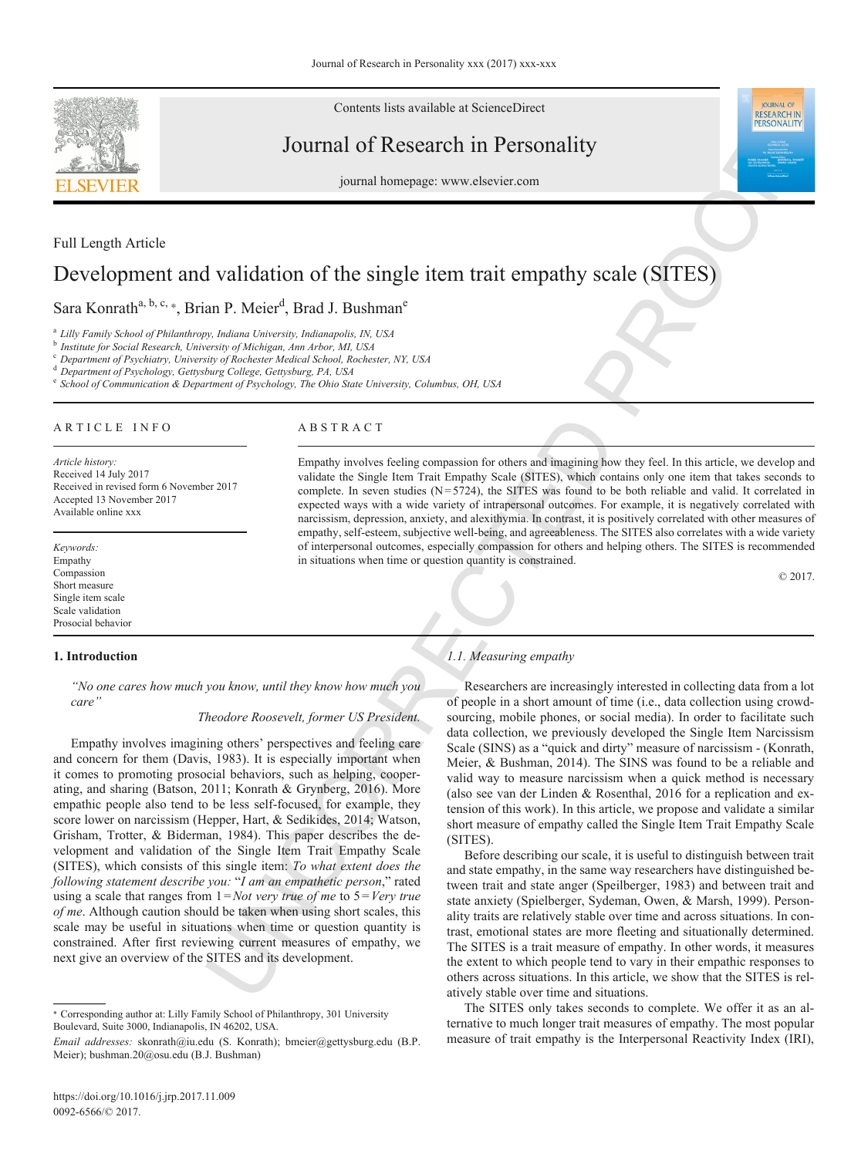

Full Length Article

Contents lists available at ScienceDirect

# Journal of Research in Personality

journal homepage: www.elsevier.com

# Development and validation of the single item trait empathy scale (SITES)

Sara Konrath<sup>a, b, c, \*</sup>, Brian P. Meier<sup>d</sup>, Brad J. Bushman<sup>e</sup>

a *Lilly Family School of Philanthropy, Indiana University, Indianapolis, IN, USA*

b *Institute for Social Research, University of Michigan, Ann Arbor, MI, USA*

<sup>c</sup> *Department of Psychiatry, University of Rochester Medical School, Rochester, NY, USA*

<sup>d</sup> *Department of Psychology, Gettysburg College, Gettysburg, PA, USA*

e *School of Communication & Department of Psychology, The Ohio State University, Columbus, OH, USA*

# ARTICLE INFO

*Article history:* Received 14 July 2017 Received in revised form 6 November 2017 Accepted 13 November 2017 Available online xxx

*Keywords:* Empathy Compassion Short measure Single item scale Scale validation Prosocial behavior

# ABSTRACT

Empathy involves feeling compassion for others and imagining how they feel. In this article, we develop and validate the Single Item Trait Empathy Scale (SITES), which contains only one item that takes seconds to complete. In seven studies  $(N=5724)$ , the SITES was found to be both reliable and valid. It correlated in expected ways with a wide variety of intrapersonal outcomes. For example, it is negatively correlated with narcissism, depression, anxiety, and alexithymia. In contrast, it is positively correlated with other measures of empathy, self-esteem, subjective well-being, and agreeableness. The SITES also correlates with a wide variety of interpersonal outcomes, especially compassion for others and helping others. The SITES is recommended in situations when time or question quantity is constrained.

© 2017.

**PECEARCH IN RESEARCH IN** 

# **1. Introduction**

*"No one cares how much you know, until they know how much you care"*

# *Theodore Roosevelt, former US President.*

Empathy involves imagining others' perspectives and feeling care and concern for them (Davis, 1983). It is especially important when it comes to promoting prosocial behaviors, such as helping, cooperating, and sharing (Batson, 2011; Konrath & Grynberg, 2016). More empathic people also tend to be less self-focused, for example, they score lower on narcissism (Hepper, Hart, & Sedikides, 2014; Watson, Grisham, Trotter, & Biderman, 1984). This paper describes the development and validation of the Single Item Trait Empathy Scale (SITES), which consists of this single item: *To what extent does the following statement describe you:* "*I am an empathetic person*," rated using a scale that ranges from 1=*Not very true of me* to 5=*Very true of me*. Although caution should be taken when using short scales, this scale may be useful in situations when time or question quantity is constrained. After first reviewing current measures of empathy, we next give an overview of the SITES and its development.

# *1.1. Measuring empathy*

Journal of Research in Personality<br>
jounnal baneange www.decircom<br>
1 validation of the single item trait empathy scale (SITES)<br>
an P. Meia<sup>n</sup>, Brad J. Bushman<sup>2</sup><br>
mean-theoretical Research is a consistent of the single it Researchers are increasingly interested in collecting data from a lot of people in a short amount of time (i.e., data collection using crowdsourcing, mobile phones, or social media). In order to facilitate such data collection, we previously developed the Single Item Narcissism Scale (SINS) as a "quick and dirty" measure of narcissism - (Konrath, Meier, & Bushman, 2014). The SINS was found to be a reliable and valid way to measure narcissism when a quick method is necessary (also see van der Linden & Rosenthal, 2016 for a replication and extension of this work). In this article, we propose and validate a similar short measure of empathy called the Single Item Trait Empathy Scale (SITES).

Before describing our scale, it is useful to distinguish between trait and state empathy, in the same way researchers have distinguished between trait and state anger (Speilberger, 1983) and between trait and state anxiety (Spielberger, Sydeman, Owen, & Marsh, 1999). Personality traits are relatively stable over time and across situations. In contrast, emotional states are more fleeting and situationally determined. The SITES is a trait measure of empathy. In other words, it measures the extent to which people tend to vary in their empathic responses to others across situations. In this article, we show that the SITES is relatively stable over time and situations.

The SITES only takes seconds to complete. We offer it as an alternative to much longer trait measures of empathy. The most popular measure of trait empathy is the Interpersonal Reactivity Index (IRI),

**<sup>⁎</sup>** Corresponding author at: Lilly Family School of Philanthropy, 301 University Boulevard, Suite 3000, Indianapolis, IN 46202, USA.

*Email addresses:* skonrath@iu.edu (S. Konrath); bmeier@gettysburg.edu (B.P. Meier); bushman.20@osu.edu (B.J. Bushman)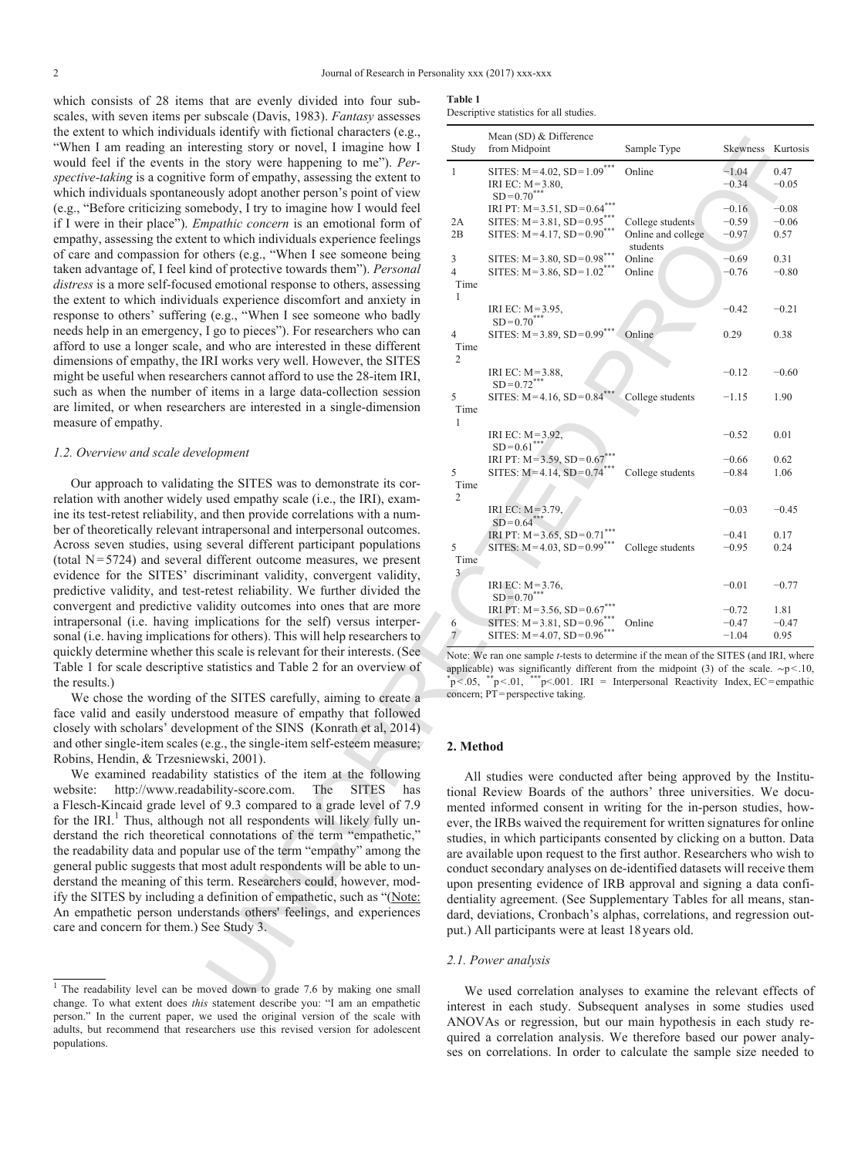which consists of 28 items that are evenly divided into four subscales, with seven items per subscale (Davis, 1983). *Fantasy* assesses the extent to which individuals identify with fictional characters (e.g., "When I am reading an interesting story or novel, I imagine how I would feel if the events in the story were happening to me"). *Perspective-taking* is a cognitive form of empathy, assessing the extent to which individuals spontaneously adopt another person's point of view (e.g., "Before criticizing somebody, I try to imagine how I would feel if I were in their place"). *Empathic concern* is an emotional form of empathy, assessing the extent to which individuals experience feelings of care and compassion for others (e.g., "When I see someone being taken advantage of, I feel kind of protective towards them"). *Personal distress* is a more self-focused emotional response to others, assessing the extent to which individuals experience discomfort and anxiety in response to others' suffering (e.g., "When I see someone who badly needs help in an emergency, I go to pieces"). For researchers who can afford to use a longer scale, and who are interested in these different dimensions of empathy, the IRI works very well. However, the SITES might be useful when researchers cannot afford to use the 28-item IRI, such as when the number of items in a large data-collection session are limited, or when researchers are interested in a single-dimension measure of empathy.

#### *1.2. Overview and scale development*

Our approach to validating the SITES was to demonstrate its correlation with another widely used empathy scale (i.e., the IRI), examine its test-retest reliability, and then provide correlations with a number of theoretically relevant intrapersonal and interpersonal outcomes. Across seven studies, using several different participant populations (total N=5724) and several different outcome measures, we present evidence for the SITES' discriminant validity, convergent validity, predictive validity, and test-retest reliability. We further divided the convergent and predictive validity outcomes into ones that are more intrapersonal (i.e. having implications for the self) versus interpersonal (i.e. having implications for others). This will help researchers to quickly determine whether this scale is relevant for their interests. (See Table 1 for scale descriptive statistics and Table 2 for an overview of the results.)

We chose the wording of the SITES carefully, aiming to create a face valid and easily understood measure of empathy that followed closely with scholars' development of the SINS (Konrath et al, 2014) and other single-item scales (e.g., the single-item self-esteem measure; Robins, Hendin, & Trzesniewski, 2001).

We examined readability statistics of the item at the following website: http://www.readability-score.com. The SITES has a Flesch-Kincaid grade level of 9.3 compared to a grade level of 7.9 for the IRI.<sup>1</sup> Thus, although not all respondents will likely fully understand the rich theoretical connotations of the term "empathetic," the readability data and popular use of the term "empathy" among the general public suggests that most adult respondents will be able to understand the meaning of this term. Researchers could, however, modify the SITES by including a definition of empathetic, such as "(Note: An empathetic person understands others' feelings, and experiences care and concern for them.) See Study 3.

#### **Table 1**

Descriptive statistics for all studies.

| Is identify with fictional characters (e.g.,<br>eresting story or novel, I imagine how I | Study                                                                                                                                          | Mean (SD) & Difference<br>from Midpoint                                                        | Sample Type        | Skewness Kurtosis  |                    |
|------------------------------------------------------------------------------------------|------------------------------------------------------------------------------------------------------------------------------------------------|------------------------------------------------------------------------------------------------|--------------------|--------------------|--------------------|
| the story were happening to me"). Per-<br>form of empathy, assessing the extent to       | $\mathbf{1}$                                                                                                                                   | SITES: $M = 4.02$ , $SD = 1.09$ <sup>***</sup><br>IRI EC: $M = 3.80$ ,                         | Online             | $-1.04$<br>$-0.34$ | 0.47<br>$-0.05$    |
| usly adopt another person's point of view<br>ebody, I try to imagine how I would feel    |                                                                                                                                                | $SD = 0.70$ ***<br>IRI PT: $M = 3.51$ , $SD = 0.64$ <sup>***</sup>                             |                    |                    |                    |
| <i>apathic concern</i> is an emotional form of                                           | 2A                                                                                                                                             | SITES: $M = 3.81$ , $SD = 0.95***$                                                             | College students   | $-0.16$<br>$-0.59$ | $-0.08$<br>$-0.06$ |
| to which individuals experience feelings                                                 | 2B                                                                                                                                             | SITES: $M=4.17$ , $SD=0.90***$                                                                 | Online and college | $-0.97$            | 0.57               |
| others (e.g., "When I see someone being                                                  | 3                                                                                                                                              | SITES: $M=3.80$ , $SD=0.98***$                                                                 | students<br>Online | $-0.69$            | 0.31               |
| d of protective towards them"). Personal                                                 | 4                                                                                                                                              | SITES: $M = 3.86$ , $SD = 1.02***$                                                             | Online             | $-0.76$            | $-0.80$            |
| d emotional response to others, assessing                                                | Time                                                                                                                                           |                                                                                                |                    |                    |                    |
| als experience discomfort and anxiety in                                                 | 1                                                                                                                                              | IRI EC: $M = 3.95$ ,                                                                           |                    | $-0.42$            | $-0.21$            |
| (e.g., "When I see someone who badly<br>I go to pieces"). For researchers who can        |                                                                                                                                                | $SD = 0.70$                                                                                    |                    |                    |                    |
| and who are interested in these different                                                | 4<br>Time                                                                                                                                      | SITES: $M = 3.89$ , $SD = 0.99***$                                                             | Online             | 0.29               | 0.38               |
| RI works very well. However, the SITES                                                   | 2                                                                                                                                              |                                                                                                |                    |                    |                    |
| hers cannot afford to use the 28-item IRI,                                               |                                                                                                                                                | IRI EC: M=3.88,                                                                                |                    | $-0.12$            | $-0.60$            |
| items in a large data-collection session                                                 | 5                                                                                                                                              | $SD = 0.72$ ***<br>SITES: $M=4.16$ , $SD=0.84$ <sup>***</sup>                                  | College students   | $-1.15$            | 1.90               |
| hers are interested in a single-dimension                                                | Time                                                                                                                                           |                                                                                                |                    |                    |                    |
|                                                                                          | 1                                                                                                                                              | IRI EC: $M = 3.92$ ,                                                                           |                    | $-0.52$            | 0.01               |
|                                                                                          |                                                                                                                                                | $SD = 0.61$ **                                                                                 |                    |                    |                    |
| lopment                                                                                  |                                                                                                                                                | IRI PT: $M = 3.59$ , $SD = 0.67$ <sup>***</sup>                                                |                    | $-0.66$            | 0.62               |
| ig the SITES was to demonstrate its cor-                                                 | 5<br>Time                                                                                                                                      | SITES: $M=4.14$ , $SD=0.74$ <sup>***</sup>                                                     | College students   | $-0.84$            | 1.06               |
| used empathy scale (i.e., the IRI), exam-                                                | 2                                                                                                                                              |                                                                                                |                    |                    |                    |
| nd then provide correlations with a num-                                                 |                                                                                                                                                | $IRI$ EC: $M = 3.79$ .                                                                         |                    | $-0.03$            | $-0.45$            |
| ntrapersonal and interpersonal outcomes.                                                 |                                                                                                                                                | $SD = 0.64$ ***<br>IRI PT: $M = 3.65$ , SD = 0.71 <sup>***</sup>                               |                    | $-0.41$            | 0.17               |
| several different participant populations                                                | 5                                                                                                                                              | SITES: $M=4.03$ , $SD=0.99$ <sup>***</sup>                                                     | College students   | $-0.95$            | 0.24               |
| different outcome measures, we present                                                   | Time                                                                                                                                           |                                                                                                |                    |                    |                    |
| scriminant validity, convergent validity,                                                | 3                                                                                                                                              | IRI EC: $M = 3.76$ ,                                                                           |                    | $-0.01$            | $-0.77$            |
| retest reliability. We further divided the<br>alidity outcomes into ones that are more   |                                                                                                                                                | $SD = 0.70$ ***                                                                                |                    |                    |                    |
| iplications for the self) versus interper-                                               | 6                                                                                                                                              | IRI PT: $M = 3.56$ , $SD = 0.67***$<br>SITES: $M = 3.81$ , $SD = 0.96$ ***                     | Online             | $-0.72$<br>$-0.47$ | 1.81<br>$-0.47$    |
| s for others). This will help researchers to                                             | $\tau$                                                                                                                                         | SITES: $M=4.07$ , $SD=0.96$ ***                                                                |                    | $-1.04$            | 0.95               |
| is scale is relevant for their interests. (See                                           |                                                                                                                                                | Note: We ran one sample <i>t</i> -tests to determine if the mean of the SITES (and IRI, where  |                    |                    |                    |
| statistics and Table 2 for an overview of                                                |                                                                                                                                                | applicable) was significantly different from the midpoint (3) of the scale. $\sim p < 10$ ,    |                    |                    |                    |
|                                                                                          |                                                                                                                                                | $p^* = 0.05$ , $p^* = 0.01$ , $p^* = 0.01$ . IRI = Interpersonal Reactivity Index, EC=empathic |                    |                    |                    |
| the SITES carefully, aiming to create a                                                  |                                                                                                                                                | concern; PT=perspective taking.                                                                |                    |                    |                    |
| tood measure of empathy that followed                                                    |                                                                                                                                                |                                                                                                |                    |                    |                    |
| pment of the SINS (Konrath et al, 2014)<br>e.g., the single-item self-esteem measure;    |                                                                                                                                                |                                                                                                |                    |                    |                    |
| vski, 2001).                                                                             | 2. Method                                                                                                                                      |                                                                                                |                    |                    |                    |
| is statistics of the item at the following                                               |                                                                                                                                                | All studies were conducted after being approved by the Institu-                                |                    |                    |                    |
| bility-score.com. The<br>SITES has                                                       |                                                                                                                                                | tional Review Boards of the authors' three universities. We docu-                              |                    |                    |                    |
| of 9.3 compared to a grade level of 7.9                                                  |                                                                                                                                                | mented informed consent in writing for the in-person studies, how-                             |                    |                    |                    |
| not all respondents will likely fully un-                                                |                                                                                                                                                | ever, the IRBs waived the requirement for written signatures for online                        |                    |                    |                    |
| connotations of the term "empathetic,"                                                   |                                                                                                                                                | studies, in which participants consented by clicking on a button. Data                         |                    |                    |                    |
| lar use of the term "empathy" among the                                                  |                                                                                                                                                | are available upon request to the first author. Researchers who wish to                        |                    |                    |                    |
| nost adult respondents will be able to un-                                               |                                                                                                                                                | conduct secondary analyses on de-identified datasets will receive them                         |                    |                    |                    |
| term. Researchers could, however, mod-<br>definition of empathetic, such as "(Note:      |                                                                                                                                                | upon presenting evidence of IRB approval and signing a data confi-                             |                    |                    |                    |
| stands others' feelings, and experiences                                                 | dentiality agreement. (See Supplementary Tables for all means, stan-<br>dard, deviations, Cronbach's alphas, correlations, and regression out- |                                                                                                |                    |                    |                    |
| See Study 3.                                                                             |                                                                                                                                                | put.) All participants were at least 18 years old.                                             |                    |                    |                    |
|                                                                                          |                                                                                                                                                |                                                                                                |                    |                    |                    |
|                                                                                          |                                                                                                                                                | 2.1. Power analysis                                                                            |                    |                    |                    |
| oved down to grade 7.6 by making one small                                               | We used correlation analyses to examine the relevant effects of                                                                                |                                                                                                |                    |                    |                    |

#### **2. Method**

## *2.1. Power analysis*

We used correlation analyses to examine the relevant effects of interest in each study. Subsequent analyses in some studies used ANOVAs or regression, but our main hypothesis in each study required a correlation analysis. We therefore based our power analyses on correlations. In order to calculate the sample size needed to

<sup>&</sup>lt;sup>1</sup> The readability level can be moved down to grade 7.6 by making one small change. To what extent does *this* statement describe you: "I am an empathetic person." In the current paper, we used the original version of the scale with adults, but recommend that researchers use this revised version for adolescent populations.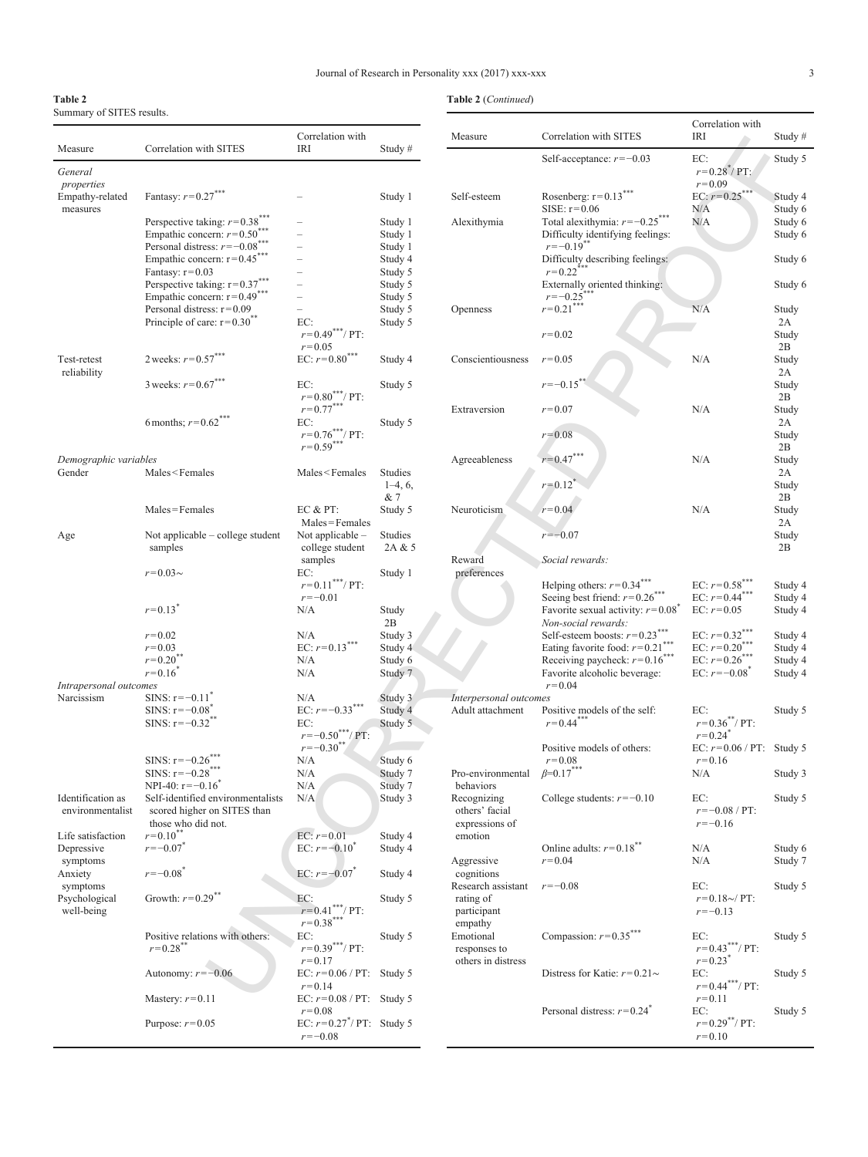| Table 2                   |  |
|---------------------------|--|
| Summary of SITES results. |  |

# **Table 2** (*Continued*)

| Measure                                   | Correlation with SITES                         | Correlation with<br>IRI                           | Study#             |
|-------------------------------------------|------------------------------------------------|---------------------------------------------------|--------------------|
|                                           |                                                |                                                   |                    |
| General                                   |                                                |                                                   |                    |
| properties<br>Empathy-related<br>measures | Fantasy: $r = 0.27***$                         |                                                   | Study 1            |
|                                           | Perspective taking: $r = 0.38$ ***             |                                                   | Study 1            |
|                                           | Empathic concern: $r=0.50***$                  |                                                   | Study 1            |
|                                           | Personal distress: $r = -0.08$ ***             |                                                   | Study 1            |
|                                           | Empathic concern: $r = 0.45***$                |                                                   | Study 4            |
|                                           | Fantasy: $r=0.03$                              |                                                   | Study 5            |
|                                           | Perspective taking: $r = 0.37***$              |                                                   | Study 5            |
|                                           | Empathic concern: $r=0.49$ ***                 |                                                   | Study 5            |
|                                           | Personal distress: $r=0.09$                    | $\overline{a}$                                    | Study 5            |
|                                           | Principle of care: $r=0.30$ <sup>**</sup>      | EC:                                               | Study 5            |
|                                           |                                                | $r = 0.49$ ***/PT:                                |                    |
|                                           |                                                | $r = 0.05$                                        |                    |
| Test-retest                               | 2 weeks: $r = 0.57$ ***                        | EC: $r = 0.80$ <sup>***</sup>                     | Study 4            |
| reliability                               | 3 weeks: $r = 0.67$ ***                        | EC:<br>$r = 0.80^{***} / PT$ :<br>$r = 0.77***$   | Study 5            |
|                                           | 6 months; $r = 0.62$ ***                       | EC:                                               | Study 5            |
|                                           |                                                | $r = 0.76$ ***/PT:<br>$r = 0.59***$               |                    |
| Demographic variables<br>Gender           | Males < Females                                | Males <females< td=""><td>Studies</td></females<> | Studies            |
|                                           |                                                |                                                   | $1-4, 6,$          |
|                                           |                                                |                                                   | & 7                |
|                                           | Males=Females                                  | EC & PT:                                          | Study 5            |
|                                           | Not applicable – college student               | Males=Females<br>Not applicable -                 | Studies            |
| Age                                       | samples                                        | college student                                   | 2A & 5             |
|                                           |                                                | samples                                           |                    |
|                                           | $r = 0.03 \sim$                                | EC:                                               | Study 1            |
|                                           |                                                | $r = 0.11$ ***/PT:<br>$r = -0.01$                 |                    |
|                                           | $r = 0.13$ <sup>*</sup>                        | N/A                                               | Study              |
|                                           |                                                |                                                   | 2B                 |
|                                           | $r = 0.02$                                     | N/A                                               | Study 3            |
|                                           | $r = 0.03$                                     | EC: $r=0.13***$                                   | Study 4            |
|                                           | $r = 0.20$ <sup>**</sup>                       | N/A                                               | Study 6            |
|                                           | $r = 0.16$ <sup>*</sup>                        | N/A                                               | Study 7            |
| Intrapersonal outcomes                    |                                                |                                                   |                    |
| Narcissism                                | SINS: $r = -0.11$ <sup>*</sup>                 | N/A                                               | Study 3            |
|                                           | SINS: $r = -0.08$ <sup>*</sup>                 | EC: $r = -0.33$ ***                               | Study 4            |
|                                           | SINS: $r = -0.32$ <sup>**</sup>                | EC:                                               | Study 5            |
|                                           |                                                | $r = -0.50^{***} / PT$ :                          |                    |
|                                           |                                                | $r = -0.30$ **                                    |                    |
|                                           | SINS: $r = -0.26$ ***<br>SINS: $r = -0.28$ *** | N/A                                               | Study 6            |
|                                           | NPI-40: r=-0.16                                | N/A<br>N/A                                        | Study 7            |
| Identification as                         | Self-identified environmentalists              | N/A                                               | Study 7<br>Study 3 |
| environmentalist                          | scored higher on SITES than                    |                                                   |                    |
|                                           | those who did not.                             |                                                   |                    |
| Life satisfaction                         | $r = 0.10$ <sup>**</sup>                       | $EC: r = 0.01$                                    | Study 4            |
| Depressive                                | $r = -0.07$ <sup>*</sup>                       | EC: $r = -0.10^*$                                 | Study 4            |
| symptoms                                  |                                                |                                                   |                    |
| Anxiety                                   | $r = -0.08$ <sup>*</sup>                       | EC: $r = -0.07^*$                                 | Study 4            |
| symptoms<br>Psychological                 | Growth: $r = 0.29$ **                          | EC:                                               |                    |
| well-being                                |                                                | $r = 0.41***/PT$ :                                | Study 5            |
|                                           |                                                | $r = 0.38$ ***                                    |                    |
|                                           | Positive relations with others:                | EC:                                               | Study 5            |
|                                           | $r = 0.28$ <sup>**</sup>                       | $r = 0.39$ ***/PT:                                |                    |
|                                           |                                                | $r = 0.17$                                        |                    |
|                                           | Autonomy: $r = -0.06$                          | $EC: r=0.06$ / PT:                                | Study 5            |
|                                           |                                                | $r = 0.14$                                        |                    |
|                                           | Mastery: $r=0.11$                              | $EC: r=0.08 / PT$                                 | Study 5            |
|                                           |                                                | $r = 0.08$                                        |                    |
|                                           | Purpose: $r=0.05$                              | EC: $r=0.27^{\degree}/$ PT:<br>$r = -0.08$        | Study 5            |

| IRI<br>Study $#$<br>Self-acceptance: $r = -0.03$<br>EC:<br>Study 5<br>$r = 0.28^{\degree} / PT$<br>$r = 0.09$<br>Rosenberg: $r=0.13***$<br>EC: $r=0.25$<br>Self-esteem<br>Study 1<br>Study 4<br>$SISE: r=0.06$<br>N/A<br>Study 6<br>$xing: r=0.38***$<br>Total alexithymia: $r=-0.25***$<br>N/A<br>Alexithymia<br>Study 6<br>Study 1<br>ern: $r = 0.50***$<br>Difficulty identifying feelings:<br>Study 1<br>Study 6<br>ess: $r = -0.08$ ***<br>$r = -0.19$ **<br>Study 1<br>ern: $r = 0.45***$<br>Difficulty describing feelings:<br>Study 4<br>Study 6<br>$r = 0.22$ <sup>***</sup><br>Study 5<br>$\sin g$ : r=0.37***<br>Study 5<br>Externally oriented thinking:<br>Study 6<br>ern: $r = 0.49$ ***<br>$r = -0.25$<br>Study 5<br>$r = 0.21$ ***<br>N/A<br>Study 5<br>Openness<br>Study<br>re: $r = 0.30$ <sup>**</sup><br>EC:<br>Study 5<br>2A<br>$r = 0.49$ ***/PT:<br>$r = 0.02$<br>Study<br>$r = 0.05$<br>2B<br>$57***$<br>EC: $r = 0.80$ <sup>***</sup><br>N/A<br>Study 4<br>Conscientiousness<br>$r = 0.05$<br>Study<br>2A<br>$57***$<br>$r = -0.15$ **<br>EC:<br>Study 5<br>Study<br>$r = 0.80$ <sup>***</sup> / PT:<br>2B<br>$r = 0.77***$<br>Extraversion<br>$r = 0.07$<br>N/A<br>Study<br>$.62***$<br>EC:<br>2A<br>Study 5<br>$r = 0.76$ ***/PT:<br>$r = 0.08$<br>Study<br>$r = 0.59$ ***<br>2B<br>$r = 0.47***$<br>N/A<br>Agreeableness<br>Study<br>Males <females<br>Studies<br/>2A<br/><math>r = 0.12</math><sup>*</sup><br/><math>1-4, 6,</math><br/>Study<br/>&amp; 7<br/>2B<br/>EC &amp; PT:<br/><math>r = 0.04</math><br/>N/A<br/>Neuroticism<br/>Study 5<br/>Study<br/>Males=Females<br/>2A<br/>- college student<br/>Not applicable <math>-</math><br/>Studies<br/><math>r = -0.07</math><br/>Study<br/>college student<br/>2A &amp; 5<br/>2B<br/>Reward<br/>samples<br/>Social rewards:<br/>EC:<br/>preferences<br/>Study 1<br/><math>r = 0.11</math><sup>***</sup>/ PT:<br/>Helping others: <math>r=0.34***</math><br/>EC: <math>r=0.58</math>***<br/>Study 4<br/>Seeing best friend: <math>r=0.26</math>***<br/>EC: <math>r=0.44</math><sup>****</sup><br/><math>r = -0.01</math><br/>Study 4<br/>N/A<br/>Favorite sexual activity: <math>r = 0.08</math><br/>EC: <math>r=0.05</math><br/>Study 4<br/>Study<br/>2B<br/>Non-social rewards:<br/>Self-esteem boosts: <math>r=0.23</math>***<br/>EC: <math>r=0.32</math>***<br/>N/A<br/>Study 3<br/>Study 4<br/>EC: <math>r = 0.13***</math><br/>Eating favorite food: <math>r=0.21</math>***<br/>EC: <math>r = 0.20</math>***<br/>Study 4<br/>Study 4<br/>Receiving paycheck: <math>r=0.16***</math><br/>EC: <math>r=0.26***</math><br/>N/A<br/>Study 6<br/>Study 4<br/>EC: <math>r = -0.08</math><sup>*</sup><br/>N/A<br/>Favorite alcoholic beverage:<br/>Study 7<br/>Study 4<br/><math>r = 0.04</math><br/>N/A<br/>Interpersonal outcomes<br/>Study 3<br/>EC: <math>r = -0.33***</math><br/>Adult attachment<br/>Positive models of the self:<br/>EC:<br/>Study 4<br/>Study 5<br/><math>r = 0.44</math>***<br/><math>r = 0.36</math><sup>**</sup>/ PT:<br/>EC:<br/>Study 5<br/><math>r = -0.50</math>***/PT:<br/><math>r = 0.24</math><sup>*</sup><br/><math>r = -0.30</math><sup>**</sup><br/>EC: <math>r = 0.06 / PT</math>: Study 5<br/>Positive models of others:<br/>N/A<br/><math>r = 0.16</math><br/>Study 6<br/><math>r = 0.08</math><br/><math>8***</math><br/>Pro-environmental <math>\beta=0.17</math>***<br/>N/A<br/>Study 7<br/>N/A<br/>Study 3<br/><math>.16*</math><br/>behaviors<br/>N/A<br/>Study 7<br/>environmentalists<br/>N/A<br/>Study 3<br/>Recognizing<br/>College students: <math>r = -0.10</math><br/>EC:<br/>Study 5<br/>on SITES than<br/>others' facial<br/><math>r = -0.08 / PT</math><br/>expressions of<br/><math>r = -0.16</math><br/>l not.<br/><math>EC: r = 0.01</math><br/>Study 4<br/>emotion<br/>Online adults: <math>r=0.18</math>**<br/>EC: <math>r = -0.10^{\degree}</math><br/>Study 4<br/>N/A<br/>Study 6<br/><math>r = 0.04</math><br/>Aggressive<br/>N/A<br/>Study 7<br/>EC: <math>r = -0.07</math><sup>*</sup><br/>cognitions<br/>Study 4<br/>Research assistant<br/><math>r = -0.08</math><br/>EC:<br/>Study 5<br/><math>29^{**}</math><br/>EC:<br/>rating of<br/><math>r = 0.18 \sim</math>/ PT:<br/>Study 5<br/><math>r = 0.41</math>***/PT:<br/>participant<br/><math>r = -0.13</math><br/><math>r = 0.38***</math><br/>empathy<br/>Compassion: <math>r=0.35***</math><br/>ons with others:<br/>EC:<br/>Emotional<br/>EC:<br/>Study 5<br/>Study 5<br/><math>r = 0.39</math>***/PT:<br/><math>r = 0.43</math>***/PT:<br/>responses to<br/><math>r = 0.23</math><sup>*</sup><br/><math>r = 0.17</math><br/>others in distress<br/><math>-0.06</math><br/>EC:<br/>EC: <math>r = 0.06 / PT</math>: Study 5<br/>Distress for Katie: <math>r=0.21\sim</math><br/>Study 5<br/><math>r = 0.44</math>***/PT:<br/><math>r = 0.14</math><br/>EC: <math>r = 0.08 / PT</math>: Study 5<br/><math>r = 0.11</math><br/>Personal distress: <math>r=0.24</math><sup>*</sup><br/>EC:<br/><math>r = 0.08</math><br/>Study 5<br/><math>r = 0.29</math><sup>**</sup>/ PT:<br/>EC: <math>r = 0.27^{\ast}/</math> PT: Study 5<br/><math>r = -0.08</math><br/><math>r = 0.10</math></females<br> |                         | Correlation with | Measure | Correlation with SITES | Correlation with<br>IRI | Study# |
|------------------------------------------------------------------------------------------------------------------------------------------------------------------------------------------------------------------------------------------------------------------------------------------------------------------------------------------------------------------------------------------------------------------------------------------------------------------------------------------------------------------------------------------------------------------------------------------------------------------------------------------------------------------------------------------------------------------------------------------------------------------------------------------------------------------------------------------------------------------------------------------------------------------------------------------------------------------------------------------------------------------------------------------------------------------------------------------------------------------------------------------------------------------------------------------------------------------------------------------------------------------------------------------------------------------------------------------------------------------------------------------------------------------------------------------------------------------------------------------------------------------------------------------------------------------------------------------------------------------------------------------------------------------------------------------------------------------------------------------------------------------------------------------------------------------------------------------------------------------------------------------------------------------------------------------------------------------------------------------------------------------------------------------------------------------------------------------------------------------------------------------------------------------------------------------------------------------------------------------------------------------------------------------------------------------------------------------------------------------------------------------------------------------------------------------------------------------------------------------------------------------------------------------------------------------------------------------------------------------------------------------------------------------------------------------------------------------------------------------------------------------------------------------------------------------------------------------------------------------------------------------------------------------------------------------------------------------------------------------------------------------------------------------------------------------------------------------------------------------------------------------------------------------------------------------------------------------------------------------------------------------------------------------------------------------------------------------------------------------------------------------------------------------------------------------------------------------------------------------------------------------------------------------------------------------------------------------------------------------------------------------------------------------------------------------------------------------------------------------------------------------------------------------------------------------------------------------------------------------------------------------------------------------------------------------------------------------------------------------------------------------------------------------------------------------------------------------------------------------------------------------------------------------------------------------------------------------------------------------------------------------------------------------------------------------------------------------------------------------------------------------------------------------------------------------------------------------------------------------------------------------------------------------------------------------------------------------------------------------------------------------------------------------------------------------------------------------------------------------------------------------------------------------------------------------------------------------------------------------------------------------------------------------------------------------------------------------------------------------------------------------------------------------------------------------------------------------------------------------------------------------------------------------------------------------------------|-------------------------|------------------|---------|------------------------|-------------------------|--------|
|                                                                                                                                                                                                                                                                                                                                                                                                                                                                                                                                                                                                                                                                                                                                                                                                                                                                                                                                                                                                                                                                                                                                                                                                                                                                                                                                                                                                                                                                                                                                                                                                                                                                                                                                                                                                                                                                                                                                                                                                                                                                                                                                                                                                                                                                                                                                                                                                                                                                                                                                                                                                                                                                                                                                                                                                                                                                                                                                                                                                                                                                                                                                                                                                                                                                                                                                                                                                                                                                                                                                                                                                                                                                                                                                                                                                                                                                                                                                                                                                                                                                                                                                                                                                                                                                                                                                                                                                                                                                                                                                                                                                                                                                                                                                                                                                                                                                                                                                                                                                                                                                                                                                                                                                      | th SITES                |                  |         |                        |                         |        |
|                                                                                                                                                                                                                                                                                                                                                                                                                                                                                                                                                                                                                                                                                                                                                                                                                                                                                                                                                                                                                                                                                                                                                                                                                                                                                                                                                                                                                                                                                                                                                                                                                                                                                                                                                                                                                                                                                                                                                                                                                                                                                                                                                                                                                                                                                                                                                                                                                                                                                                                                                                                                                                                                                                                                                                                                                                                                                                                                                                                                                                                                                                                                                                                                                                                                                                                                                                                                                                                                                                                                                                                                                                                                                                                                                                                                                                                                                                                                                                                                                                                                                                                                                                                                                                                                                                                                                                                                                                                                                                                                                                                                                                                                                                                                                                                                                                                                                                                                                                                                                                                                                                                                                                                                      |                         |                  |         |                        |                         |        |
|                                                                                                                                                                                                                                                                                                                                                                                                                                                                                                                                                                                                                                                                                                                                                                                                                                                                                                                                                                                                                                                                                                                                                                                                                                                                                                                                                                                                                                                                                                                                                                                                                                                                                                                                                                                                                                                                                                                                                                                                                                                                                                                                                                                                                                                                                                                                                                                                                                                                                                                                                                                                                                                                                                                                                                                                                                                                                                                                                                                                                                                                                                                                                                                                                                                                                                                                                                                                                                                                                                                                                                                                                                                                                                                                                                                                                                                                                                                                                                                                                                                                                                                                                                                                                                                                                                                                                                                                                                                                                                                                                                                                                                                                                                                                                                                                                                                                                                                                                                                                                                                                                                                                                                                                      | 27                      |                  |         |                        |                         |        |
|                                                                                                                                                                                                                                                                                                                                                                                                                                                                                                                                                                                                                                                                                                                                                                                                                                                                                                                                                                                                                                                                                                                                                                                                                                                                                                                                                                                                                                                                                                                                                                                                                                                                                                                                                                                                                                                                                                                                                                                                                                                                                                                                                                                                                                                                                                                                                                                                                                                                                                                                                                                                                                                                                                                                                                                                                                                                                                                                                                                                                                                                                                                                                                                                                                                                                                                                                                                                                                                                                                                                                                                                                                                                                                                                                                                                                                                                                                                                                                                                                                                                                                                                                                                                                                                                                                                                                                                                                                                                                                                                                                                                                                                                                                                                                                                                                                                                                                                                                                                                                                                                                                                                                                                                      |                         |                  |         |                        |                         |        |
|                                                                                                                                                                                                                                                                                                                                                                                                                                                                                                                                                                                                                                                                                                                                                                                                                                                                                                                                                                                                                                                                                                                                                                                                                                                                                                                                                                                                                                                                                                                                                                                                                                                                                                                                                                                                                                                                                                                                                                                                                                                                                                                                                                                                                                                                                                                                                                                                                                                                                                                                                                                                                                                                                                                                                                                                                                                                                                                                                                                                                                                                                                                                                                                                                                                                                                                                                                                                                                                                                                                                                                                                                                                                                                                                                                                                                                                                                                                                                                                                                                                                                                                                                                                                                                                                                                                                                                                                                                                                                                                                                                                                                                                                                                                                                                                                                                                                                                                                                                                                                                                                                                                                                                                                      |                         |                  |         |                        |                         |        |
|                                                                                                                                                                                                                                                                                                                                                                                                                                                                                                                                                                                                                                                                                                                                                                                                                                                                                                                                                                                                                                                                                                                                                                                                                                                                                                                                                                                                                                                                                                                                                                                                                                                                                                                                                                                                                                                                                                                                                                                                                                                                                                                                                                                                                                                                                                                                                                                                                                                                                                                                                                                                                                                                                                                                                                                                                                                                                                                                                                                                                                                                                                                                                                                                                                                                                                                                                                                                                                                                                                                                                                                                                                                                                                                                                                                                                                                                                                                                                                                                                                                                                                                                                                                                                                                                                                                                                                                                                                                                                                                                                                                                                                                                                                                                                                                                                                                                                                                                                                                                                                                                                                                                                                                                      |                         |                  |         |                        |                         |        |
|                                                                                                                                                                                                                                                                                                                                                                                                                                                                                                                                                                                                                                                                                                                                                                                                                                                                                                                                                                                                                                                                                                                                                                                                                                                                                                                                                                                                                                                                                                                                                                                                                                                                                                                                                                                                                                                                                                                                                                                                                                                                                                                                                                                                                                                                                                                                                                                                                                                                                                                                                                                                                                                                                                                                                                                                                                                                                                                                                                                                                                                                                                                                                                                                                                                                                                                                                                                                                                                                                                                                                                                                                                                                                                                                                                                                                                                                                                                                                                                                                                                                                                                                                                                                                                                                                                                                                                                                                                                                                                                                                                                                                                                                                                                                                                                                                                                                                                                                                                                                                                                                                                                                                                                                      |                         |                  |         |                        |                         |        |
|                                                                                                                                                                                                                                                                                                                                                                                                                                                                                                                                                                                                                                                                                                                                                                                                                                                                                                                                                                                                                                                                                                                                                                                                                                                                                                                                                                                                                                                                                                                                                                                                                                                                                                                                                                                                                                                                                                                                                                                                                                                                                                                                                                                                                                                                                                                                                                                                                                                                                                                                                                                                                                                                                                                                                                                                                                                                                                                                                                                                                                                                                                                                                                                                                                                                                                                                                                                                                                                                                                                                                                                                                                                                                                                                                                                                                                                                                                                                                                                                                                                                                                                                                                                                                                                                                                                                                                                                                                                                                                                                                                                                                                                                                                                                                                                                                                                                                                                                                                                                                                                                                                                                                                                                      |                         |                  |         |                        |                         |        |
|                                                                                                                                                                                                                                                                                                                                                                                                                                                                                                                                                                                                                                                                                                                                                                                                                                                                                                                                                                                                                                                                                                                                                                                                                                                                                                                                                                                                                                                                                                                                                                                                                                                                                                                                                                                                                                                                                                                                                                                                                                                                                                                                                                                                                                                                                                                                                                                                                                                                                                                                                                                                                                                                                                                                                                                                                                                                                                                                                                                                                                                                                                                                                                                                                                                                                                                                                                                                                                                                                                                                                                                                                                                                                                                                                                                                                                                                                                                                                                                                                                                                                                                                                                                                                                                                                                                                                                                                                                                                                                                                                                                                                                                                                                                                                                                                                                                                                                                                                                                                                                                                                                                                                                                                      | $^{13}$                 |                  |         |                        |                         |        |
|                                                                                                                                                                                                                                                                                                                                                                                                                                                                                                                                                                                                                                                                                                                                                                                                                                                                                                                                                                                                                                                                                                                                                                                                                                                                                                                                                                                                                                                                                                                                                                                                                                                                                                                                                                                                                                                                                                                                                                                                                                                                                                                                                                                                                                                                                                                                                                                                                                                                                                                                                                                                                                                                                                                                                                                                                                                                                                                                                                                                                                                                                                                                                                                                                                                                                                                                                                                                                                                                                                                                                                                                                                                                                                                                                                                                                                                                                                                                                                                                                                                                                                                                                                                                                                                                                                                                                                                                                                                                                                                                                                                                                                                                                                                                                                                                                                                                                                                                                                                                                                                                                                                                                                                                      |                         |                  |         |                        |                         |        |
|                                                                                                                                                                                                                                                                                                                                                                                                                                                                                                                                                                                                                                                                                                                                                                                                                                                                                                                                                                                                                                                                                                                                                                                                                                                                                                                                                                                                                                                                                                                                                                                                                                                                                                                                                                                                                                                                                                                                                                                                                                                                                                                                                                                                                                                                                                                                                                                                                                                                                                                                                                                                                                                                                                                                                                                                                                                                                                                                                                                                                                                                                                                                                                                                                                                                                                                                                                                                                                                                                                                                                                                                                                                                                                                                                                                                                                                                                                                                                                                                                                                                                                                                                                                                                                                                                                                                                                                                                                                                                                                                                                                                                                                                                                                                                                                                                                                                                                                                                                                                                                                                                                                                                                                                      |                         |                  |         |                        |                         |        |
|                                                                                                                                                                                                                                                                                                                                                                                                                                                                                                                                                                                                                                                                                                                                                                                                                                                                                                                                                                                                                                                                                                                                                                                                                                                                                                                                                                                                                                                                                                                                                                                                                                                                                                                                                                                                                                                                                                                                                                                                                                                                                                                                                                                                                                                                                                                                                                                                                                                                                                                                                                                                                                                                                                                                                                                                                                                                                                                                                                                                                                                                                                                                                                                                                                                                                                                                                                                                                                                                                                                                                                                                                                                                                                                                                                                                                                                                                                                                                                                                                                                                                                                                                                                                                                                                                                                                                                                                                                                                                                                                                                                                                                                                                                                                                                                                                                                                                                                                                                                                                                                                                                                                                                                                      | $\text{ess: } r = 0.09$ |                  |         |                        |                         |        |
|                                                                                                                                                                                                                                                                                                                                                                                                                                                                                                                                                                                                                                                                                                                                                                                                                                                                                                                                                                                                                                                                                                                                                                                                                                                                                                                                                                                                                                                                                                                                                                                                                                                                                                                                                                                                                                                                                                                                                                                                                                                                                                                                                                                                                                                                                                                                                                                                                                                                                                                                                                                                                                                                                                                                                                                                                                                                                                                                                                                                                                                                                                                                                                                                                                                                                                                                                                                                                                                                                                                                                                                                                                                                                                                                                                                                                                                                                                                                                                                                                                                                                                                                                                                                                                                                                                                                                                                                                                                                                                                                                                                                                                                                                                                                                                                                                                                                                                                                                                                                                                                                                                                                                                                                      |                         |                  |         |                        |                         |        |
|                                                                                                                                                                                                                                                                                                                                                                                                                                                                                                                                                                                                                                                                                                                                                                                                                                                                                                                                                                                                                                                                                                                                                                                                                                                                                                                                                                                                                                                                                                                                                                                                                                                                                                                                                                                                                                                                                                                                                                                                                                                                                                                                                                                                                                                                                                                                                                                                                                                                                                                                                                                                                                                                                                                                                                                                                                                                                                                                                                                                                                                                                                                                                                                                                                                                                                                                                                                                                                                                                                                                                                                                                                                                                                                                                                                                                                                                                                                                                                                                                                                                                                                                                                                                                                                                                                                                                                                                                                                                                                                                                                                                                                                                                                                                                                                                                                                                                                                                                                                                                                                                                                                                                                                                      |                         |                  |         |                        |                         |        |
|                                                                                                                                                                                                                                                                                                                                                                                                                                                                                                                                                                                                                                                                                                                                                                                                                                                                                                                                                                                                                                                                                                                                                                                                                                                                                                                                                                                                                                                                                                                                                                                                                                                                                                                                                                                                                                                                                                                                                                                                                                                                                                                                                                                                                                                                                                                                                                                                                                                                                                                                                                                                                                                                                                                                                                                                                                                                                                                                                                                                                                                                                                                                                                                                                                                                                                                                                                                                                                                                                                                                                                                                                                                                                                                                                                                                                                                                                                                                                                                                                                                                                                                                                                                                                                                                                                                                                                                                                                                                                                                                                                                                                                                                                                                                                                                                                                                                                                                                                                                                                                                                                                                                                                                                      |                         |                  |         |                        |                         |        |
|                                                                                                                                                                                                                                                                                                                                                                                                                                                                                                                                                                                                                                                                                                                                                                                                                                                                                                                                                                                                                                                                                                                                                                                                                                                                                                                                                                                                                                                                                                                                                                                                                                                                                                                                                                                                                                                                                                                                                                                                                                                                                                                                                                                                                                                                                                                                                                                                                                                                                                                                                                                                                                                                                                                                                                                                                                                                                                                                                                                                                                                                                                                                                                                                                                                                                                                                                                                                                                                                                                                                                                                                                                                                                                                                                                                                                                                                                                                                                                                                                                                                                                                                                                                                                                                                                                                                                                                                                                                                                                                                                                                                                                                                                                                                                                                                                                                                                                                                                                                                                                                                                                                                                                                                      |                         |                  |         |                        |                         |        |
|                                                                                                                                                                                                                                                                                                                                                                                                                                                                                                                                                                                                                                                                                                                                                                                                                                                                                                                                                                                                                                                                                                                                                                                                                                                                                                                                                                                                                                                                                                                                                                                                                                                                                                                                                                                                                                                                                                                                                                                                                                                                                                                                                                                                                                                                                                                                                                                                                                                                                                                                                                                                                                                                                                                                                                                                                                                                                                                                                                                                                                                                                                                                                                                                                                                                                                                                                                                                                                                                                                                                                                                                                                                                                                                                                                                                                                                                                                                                                                                                                                                                                                                                                                                                                                                                                                                                                                                                                                                                                                                                                                                                                                                                                                                                                                                                                                                                                                                                                                                                                                                                                                                                                                                                      |                         |                  |         |                        |                         |        |
|                                                                                                                                                                                                                                                                                                                                                                                                                                                                                                                                                                                                                                                                                                                                                                                                                                                                                                                                                                                                                                                                                                                                                                                                                                                                                                                                                                                                                                                                                                                                                                                                                                                                                                                                                                                                                                                                                                                                                                                                                                                                                                                                                                                                                                                                                                                                                                                                                                                                                                                                                                                                                                                                                                                                                                                                                                                                                                                                                                                                                                                                                                                                                                                                                                                                                                                                                                                                                                                                                                                                                                                                                                                                                                                                                                                                                                                                                                                                                                                                                                                                                                                                                                                                                                                                                                                                                                                                                                                                                                                                                                                                                                                                                                                                                                                                                                                                                                                                                                                                                                                                                                                                                                                                      |                         |                  |         |                        |                         |        |
|                                                                                                                                                                                                                                                                                                                                                                                                                                                                                                                                                                                                                                                                                                                                                                                                                                                                                                                                                                                                                                                                                                                                                                                                                                                                                                                                                                                                                                                                                                                                                                                                                                                                                                                                                                                                                                                                                                                                                                                                                                                                                                                                                                                                                                                                                                                                                                                                                                                                                                                                                                                                                                                                                                                                                                                                                                                                                                                                                                                                                                                                                                                                                                                                                                                                                                                                                                                                                                                                                                                                                                                                                                                                                                                                                                                                                                                                                                                                                                                                                                                                                                                                                                                                                                                                                                                                                                                                                                                                                                                                                                                                                                                                                                                                                                                                                                                                                                                                                                                                                                                                                                                                                                                                      |                         |                  |         |                        |                         |        |
|                                                                                                                                                                                                                                                                                                                                                                                                                                                                                                                                                                                                                                                                                                                                                                                                                                                                                                                                                                                                                                                                                                                                                                                                                                                                                                                                                                                                                                                                                                                                                                                                                                                                                                                                                                                                                                                                                                                                                                                                                                                                                                                                                                                                                                                                                                                                                                                                                                                                                                                                                                                                                                                                                                                                                                                                                                                                                                                                                                                                                                                                                                                                                                                                                                                                                                                                                                                                                                                                                                                                                                                                                                                                                                                                                                                                                                                                                                                                                                                                                                                                                                                                                                                                                                                                                                                                                                                                                                                                                                                                                                                                                                                                                                                                                                                                                                                                                                                                                                                                                                                                                                                                                                                                      |                         |                  |         |                        |                         |        |
|                                                                                                                                                                                                                                                                                                                                                                                                                                                                                                                                                                                                                                                                                                                                                                                                                                                                                                                                                                                                                                                                                                                                                                                                                                                                                                                                                                                                                                                                                                                                                                                                                                                                                                                                                                                                                                                                                                                                                                                                                                                                                                                                                                                                                                                                                                                                                                                                                                                                                                                                                                                                                                                                                                                                                                                                                                                                                                                                                                                                                                                                                                                                                                                                                                                                                                                                                                                                                                                                                                                                                                                                                                                                                                                                                                                                                                                                                                                                                                                                                                                                                                                                                                                                                                                                                                                                                                                                                                                                                                                                                                                                                                                                                                                                                                                                                                                                                                                                                                                                                                                                                                                                                                                                      |                         |                  |         |                        |                         |        |
|                                                                                                                                                                                                                                                                                                                                                                                                                                                                                                                                                                                                                                                                                                                                                                                                                                                                                                                                                                                                                                                                                                                                                                                                                                                                                                                                                                                                                                                                                                                                                                                                                                                                                                                                                                                                                                                                                                                                                                                                                                                                                                                                                                                                                                                                                                                                                                                                                                                                                                                                                                                                                                                                                                                                                                                                                                                                                                                                                                                                                                                                                                                                                                                                                                                                                                                                                                                                                                                                                                                                                                                                                                                                                                                                                                                                                                                                                                                                                                                                                                                                                                                                                                                                                                                                                                                                                                                                                                                                                                                                                                                                                                                                                                                                                                                                                                                                                                                                                                                                                                                                                                                                                                                                      |                         |                  |         |                        |                         |        |
|                                                                                                                                                                                                                                                                                                                                                                                                                                                                                                                                                                                                                                                                                                                                                                                                                                                                                                                                                                                                                                                                                                                                                                                                                                                                                                                                                                                                                                                                                                                                                                                                                                                                                                                                                                                                                                                                                                                                                                                                                                                                                                                                                                                                                                                                                                                                                                                                                                                                                                                                                                                                                                                                                                                                                                                                                                                                                                                                                                                                                                                                                                                                                                                                                                                                                                                                                                                                                                                                                                                                                                                                                                                                                                                                                                                                                                                                                                                                                                                                                                                                                                                                                                                                                                                                                                                                                                                                                                                                                                                                                                                                                                                                                                                                                                                                                                                                                                                                                                                                                                                                                                                                                                                                      |                         |                  |         |                        |                         |        |
|                                                                                                                                                                                                                                                                                                                                                                                                                                                                                                                                                                                                                                                                                                                                                                                                                                                                                                                                                                                                                                                                                                                                                                                                                                                                                                                                                                                                                                                                                                                                                                                                                                                                                                                                                                                                                                                                                                                                                                                                                                                                                                                                                                                                                                                                                                                                                                                                                                                                                                                                                                                                                                                                                                                                                                                                                                                                                                                                                                                                                                                                                                                                                                                                                                                                                                                                                                                                                                                                                                                                                                                                                                                                                                                                                                                                                                                                                                                                                                                                                                                                                                                                                                                                                                                                                                                                                                                                                                                                                                                                                                                                                                                                                                                                                                                                                                                                                                                                                                                                                                                                                                                                                                                                      |                         |                  |         |                        |                         |        |
|                                                                                                                                                                                                                                                                                                                                                                                                                                                                                                                                                                                                                                                                                                                                                                                                                                                                                                                                                                                                                                                                                                                                                                                                                                                                                                                                                                                                                                                                                                                                                                                                                                                                                                                                                                                                                                                                                                                                                                                                                                                                                                                                                                                                                                                                                                                                                                                                                                                                                                                                                                                                                                                                                                                                                                                                                                                                                                                                                                                                                                                                                                                                                                                                                                                                                                                                                                                                                                                                                                                                                                                                                                                                                                                                                                                                                                                                                                                                                                                                                                                                                                                                                                                                                                                                                                                                                                                                                                                                                                                                                                                                                                                                                                                                                                                                                                                                                                                                                                                                                                                                                                                                                                                                      | es                      |                  |         |                        |                         |        |
|                                                                                                                                                                                                                                                                                                                                                                                                                                                                                                                                                                                                                                                                                                                                                                                                                                                                                                                                                                                                                                                                                                                                                                                                                                                                                                                                                                                                                                                                                                                                                                                                                                                                                                                                                                                                                                                                                                                                                                                                                                                                                                                                                                                                                                                                                                                                                                                                                                                                                                                                                                                                                                                                                                                                                                                                                                                                                                                                                                                                                                                                                                                                                                                                                                                                                                                                                                                                                                                                                                                                                                                                                                                                                                                                                                                                                                                                                                                                                                                                                                                                                                                                                                                                                                                                                                                                                                                                                                                                                                                                                                                                                                                                                                                                                                                                                                                                                                                                                                                                                                                                                                                                                                                                      |                         |                  |         |                        |                         |        |
|                                                                                                                                                                                                                                                                                                                                                                                                                                                                                                                                                                                                                                                                                                                                                                                                                                                                                                                                                                                                                                                                                                                                                                                                                                                                                                                                                                                                                                                                                                                                                                                                                                                                                                                                                                                                                                                                                                                                                                                                                                                                                                                                                                                                                                                                                                                                                                                                                                                                                                                                                                                                                                                                                                                                                                                                                                                                                                                                                                                                                                                                                                                                                                                                                                                                                                                                                                                                                                                                                                                                                                                                                                                                                                                                                                                                                                                                                                                                                                                                                                                                                                                                                                                                                                                                                                                                                                                                                                                                                                                                                                                                                                                                                                                                                                                                                                                                                                                                                                                                                                                                                                                                                                                                      |                         |                  |         |                        |                         |        |
|                                                                                                                                                                                                                                                                                                                                                                                                                                                                                                                                                                                                                                                                                                                                                                                                                                                                                                                                                                                                                                                                                                                                                                                                                                                                                                                                                                                                                                                                                                                                                                                                                                                                                                                                                                                                                                                                                                                                                                                                                                                                                                                                                                                                                                                                                                                                                                                                                                                                                                                                                                                                                                                                                                                                                                                                                                                                                                                                                                                                                                                                                                                                                                                                                                                                                                                                                                                                                                                                                                                                                                                                                                                                                                                                                                                                                                                                                                                                                                                                                                                                                                                                                                                                                                                                                                                                                                                                                                                                                                                                                                                                                                                                                                                                                                                                                                                                                                                                                                                                                                                                                                                                                                                                      | es                      |                  |         |                        |                         |        |
|                                                                                                                                                                                                                                                                                                                                                                                                                                                                                                                                                                                                                                                                                                                                                                                                                                                                                                                                                                                                                                                                                                                                                                                                                                                                                                                                                                                                                                                                                                                                                                                                                                                                                                                                                                                                                                                                                                                                                                                                                                                                                                                                                                                                                                                                                                                                                                                                                                                                                                                                                                                                                                                                                                                                                                                                                                                                                                                                                                                                                                                                                                                                                                                                                                                                                                                                                                                                                                                                                                                                                                                                                                                                                                                                                                                                                                                                                                                                                                                                                                                                                                                                                                                                                                                                                                                                                                                                                                                                                                                                                                                                                                                                                                                                                                                                                                                                                                                                                                                                                                                                                                                                                                                                      |                         |                  |         |                        |                         |        |
|                                                                                                                                                                                                                                                                                                                                                                                                                                                                                                                                                                                                                                                                                                                                                                                                                                                                                                                                                                                                                                                                                                                                                                                                                                                                                                                                                                                                                                                                                                                                                                                                                                                                                                                                                                                                                                                                                                                                                                                                                                                                                                                                                                                                                                                                                                                                                                                                                                                                                                                                                                                                                                                                                                                                                                                                                                                                                                                                                                                                                                                                                                                                                                                                                                                                                                                                                                                                                                                                                                                                                                                                                                                                                                                                                                                                                                                                                                                                                                                                                                                                                                                                                                                                                                                                                                                                                                                                                                                                                                                                                                                                                                                                                                                                                                                                                                                                                                                                                                                                                                                                                                                                                                                                      |                         |                  |         |                        |                         |        |
|                                                                                                                                                                                                                                                                                                                                                                                                                                                                                                                                                                                                                                                                                                                                                                                                                                                                                                                                                                                                                                                                                                                                                                                                                                                                                                                                                                                                                                                                                                                                                                                                                                                                                                                                                                                                                                                                                                                                                                                                                                                                                                                                                                                                                                                                                                                                                                                                                                                                                                                                                                                                                                                                                                                                                                                                                                                                                                                                                                                                                                                                                                                                                                                                                                                                                                                                                                                                                                                                                                                                                                                                                                                                                                                                                                                                                                                                                                                                                                                                                                                                                                                                                                                                                                                                                                                                                                                                                                                                                                                                                                                                                                                                                                                                                                                                                                                                                                                                                                                                                                                                                                                                                                                                      |                         |                  |         |                        |                         |        |
|                                                                                                                                                                                                                                                                                                                                                                                                                                                                                                                                                                                                                                                                                                                                                                                                                                                                                                                                                                                                                                                                                                                                                                                                                                                                                                                                                                                                                                                                                                                                                                                                                                                                                                                                                                                                                                                                                                                                                                                                                                                                                                                                                                                                                                                                                                                                                                                                                                                                                                                                                                                                                                                                                                                                                                                                                                                                                                                                                                                                                                                                                                                                                                                                                                                                                                                                                                                                                                                                                                                                                                                                                                                                                                                                                                                                                                                                                                                                                                                                                                                                                                                                                                                                                                                                                                                                                                                                                                                                                                                                                                                                                                                                                                                                                                                                                                                                                                                                                                                                                                                                                                                                                                                                      |                         |                  |         |                        |                         |        |
|                                                                                                                                                                                                                                                                                                                                                                                                                                                                                                                                                                                                                                                                                                                                                                                                                                                                                                                                                                                                                                                                                                                                                                                                                                                                                                                                                                                                                                                                                                                                                                                                                                                                                                                                                                                                                                                                                                                                                                                                                                                                                                                                                                                                                                                                                                                                                                                                                                                                                                                                                                                                                                                                                                                                                                                                                                                                                                                                                                                                                                                                                                                                                                                                                                                                                                                                                                                                                                                                                                                                                                                                                                                                                                                                                                                                                                                                                                                                                                                                                                                                                                                                                                                                                                                                                                                                                                                                                                                                                                                                                                                                                                                                                                                                                                                                                                                                                                                                                                                                                                                                                                                                                                                                      |                         |                  |         |                        |                         |        |
|                                                                                                                                                                                                                                                                                                                                                                                                                                                                                                                                                                                                                                                                                                                                                                                                                                                                                                                                                                                                                                                                                                                                                                                                                                                                                                                                                                                                                                                                                                                                                                                                                                                                                                                                                                                                                                                                                                                                                                                                                                                                                                                                                                                                                                                                                                                                                                                                                                                                                                                                                                                                                                                                                                                                                                                                                                                                                                                                                                                                                                                                                                                                                                                                                                                                                                                                                                                                                                                                                                                                                                                                                                                                                                                                                                                                                                                                                                                                                                                                                                                                                                                                                                                                                                                                                                                                                                                                                                                                                                                                                                                                                                                                                                                                                                                                                                                                                                                                                                                                                                                                                                                                                                                                      |                         |                  |         |                        |                         |        |
|                                                                                                                                                                                                                                                                                                                                                                                                                                                                                                                                                                                                                                                                                                                                                                                                                                                                                                                                                                                                                                                                                                                                                                                                                                                                                                                                                                                                                                                                                                                                                                                                                                                                                                                                                                                                                                                                                                                                                                                                                                                                                                                                                                                                                                                                                                                                                                                                                                                                                                                                                                                                                                                                                                                                                                                                                                                                                                                                                                                                                                                                                                                                                                                                                                                                                                                                                                                                                                                                                                                                                                                                                                                                                                                                                                                                                                                                                                                                                                                                                                                                                                                                                                                                                                                                                                                                                                                                                                                                                                                                                                                                                                                                                                                                                                                                                                                                                                                                                                                                                                                                                                                                                                                                      |                         |                  |         |                        |                         |        |
|                                                                                                                                                                                                                                                                                                                                                                                                                                                                                                                                                                                                                                                                                                                                                                                                                                                                                                                                                                                                                                                                                                                                                                                                                                                                                                                                                                                                                                                                                                                                                                                                                                                                                                                                                                                                                                                                                                                                                                                                                                                                                                                                                                                                                                                                                                                                                                                                                                                                                                                                                                                                                                                                                                                                                                                                                                                                                                                                                                                                                                                                                                                                                                                                                                                                                                                                                                                                                                                                                                                                                                                                                                                                                                                                                                                                                                                                                                                                                                                                                                                                                                                                                                                                                                                                                                                                                                                                                                                                                                                                                                                                                                                                                                                                                                                                                                                                                                                                                                                                                                                                                                                                                                                                      |                         |                  |         |                        |                         |        |
|                                                                                                                                                                                                                                                                                                                                                                                                                                                                                                                                                                                                                                                                                                                                                                                                                                                                                                                                                                                                                                                                                                                                                                                                                                                                                                                                                                                                                                                                                                                                                                                                                                                                                                                                                                                                                                                                                                                                                                                                                                                                                                                                                                                                                                                                                                                                                                                                                                                                                                                                                                                                                                                                                                                                                                                                                                                                                                                                                                                                                                                                                                                                                                                                                                                                                                                                                                                                                                                                                                                                                                                                                                                                                                                                                                                                                                                                                                                                                                                                                                                                                                                                                                                                                                                                                                                                                                                                                                                                                                                                                                                                                                                                                                                                                                                                                                                                                                                                                                                                                                                                                                                                                                                                      |                         |                  |         |                        |                         |        |
|                                                                                                                                                                                                                                                                                                                                                                                                                                                                                                                                                                                                                                                                                                                                                                                                                                                                                                                                                                                                                                                                                                                                                                                                                                                                                                                                                                                                                                                                                                                                                                                                                                                                                                                                                                                                                                                                                                                                                                                                                                                                                                                                                                                                                                                                                                                                                                                                                                                                                                                                                                                                                                                                                                                                                                                                                                                                                                                                                                                                                                                                                                                                                                                                                                                                                                                                                                                                                                                                                                                                                                                                                                                                                                                                                                                                                                                                                                                                                                                                                                                                                                                                                                                                                                                                                                                                                                                                                                                                                                                                                                                                                                                                                                                                                                                                                                                                                                                                                                                                                                                                                                                                                                                                      |                         |                  |         |                        |                         |        |
|                                                                                                                                                                                                                                                                                                                                                                                                                                                                                                                                                                                                                                                                                                                                                                                                                                                                                                                                                                                                                                                                                                                                                                                                                                                                                                                                                                                                                                                                                                                                                                                                                                                                                                                                                                                                                                                                                                                                                                                                                                                                                                                                                                                                                                                                                                                                                                                                                                                                                                                                                                                                                                                                                                                                                                                                                                                                                                                                                                                                                                                                                                                                                                                                                                                                                                                                                                                                                                                                                                                                                                                                                                                                                                                                                                                                                                                                                                                                                                                                                                                                                                                                                                                                                                                                                                                                                                                                                                                                                                                                                                                                                                                                                                                                                                                                                                                                                                                                                                                                                                                                                                                                                                                                      |                         |                  |         |                        |                         |        |
|                                                                                                                                                                                                                                                                                                                                                                                                                                                                                                                                                                                                                                                                                                                                                                                                                                                                                                                                                                                                                                                                                                                                                                                                                                                                                                                                                                                                                                                                                                                                                                                                                                                                                                                                                                                                                                                                                                                                                                                                                                                                                                                                                                                                                                                                                                                                                                                                                                                                                                                                                                                                                                                                                                                                                                                                                                                                                                                                                                                                                                                                                                                                                                                                                                                                                                                                                                                                                                                                                                                                                                                                                                                                                                                                                                                                                                                                                                                                                                                                                                                                                                                                                                                                                                                                                                                                                                                                                                                                                                                                                                                                                                                                                                                                                                                                                                                                                                                                                                                                                                                                                                                                                                                                      |                         |                  |         |                        |                         |        |
|                                                                                                                                                                                                                                                                                                                                                                                                                                                                                                                                                                                                                                                                                                                                                                                                                                                                                                                                                                                                                                                                                                                                                                                                                                                                                                                                                                                                                                                                                                                                                                                                                                                                                                                                                                                                                                                                                                                                                                                                                                                                                                                                                                                                                                                                                                                                                                                                                                                                                                                                                                                                                                                                                                                                                                                                                                                                                                                                                                                                                                                                                                                                                                                                                                                                                                                                                                                                                                                                                                                                                                                                                                                                                                                                                                                                                                                                                                                                                                                                                                                                                                                                                                                                                                                                                                                                                                                                                                                                                                                                                                                                                                                                                                                                                                                                                                                                                                                                                                                                                                                                                                                                                                                                      |                         |                  |         |                        |                         |        |
|                                                                                                                                                                                                                                                                                                                                                                                                                                                                                                                                                                                                                                                                                                                                                                                                                                                                                                                                                                                                                                                                                                                                                                                                                                                                                                                                                                                                                                                                                                                                                                                                                                                                                                                                                                                                                                                                                                                                                                                                                                                                                                                                                                                                                                                                                                                                                                                                                                                                                                                                                                                                                                                                                                                                                                                                                                                                                                                                                                                                                                                                                                                                                                                                                                                                                                                                                                                                                                                                                                                                                                                                                                                                                                                                                                                                                                                                                                                                                                                                                                                                                                                                                                                                                                                                                                                                                                                                                                                                                                                                                                                                                                                                                                                                                                                                                                                                                                                                                                                                                                                                                                                                                                                                      |                         |                  |         |                        |                         |        |
|                                                                                                                                                                                                                                                                                                                                                                                                                                                                                                                                                                                                                                                                                                                                                                                                                                                                                                                                                                                                                                                                                                                                                                                                                                                                                                                                                                                                                                                                                                                                                                                                                                                                                                                                                                                                                                                                                                                                                                                                                                                                                                                                                                                                                                                                                                                                                                                                                                                                                                                                                                                                                                                                                                                                                                                                                                                                                                                                                                                                                                                                                                                                                                                                                                                                                                                                                                                                                                                                                                                                                                                                                                                                                                                                                                                                                                                                                                                                                                                                                                                                                                                                                                                                                                                                                                                                                                                                                                                                                                                                                                                                                                                                                                                                                                                                                                                                                                                                                                                                                                                                                                                                                                                                      |                         |                  |         |                        |                         |        |
|                                                                                                                                                                                                                                                                                                                                                                                                                                                                                                                                                                                                                                                                                                                                                                                                                                                                                                                                                                                                                                                                                                                                                                                                                                                                                                                                                                                                                                                                                                                                                                                                                                                                                                                                                                                                                                                                                                                                                                                                                                                                                                                                                                                                                                                                                                                                                                                                                                                                                                                                                                                                                                                                                                                                                                                                                                                                                                                                                                                                                                                                                                                                                                                                                                                                                                                                                                                                                                                                                                                                                                                                                                                                                                                                                                                                                                                                                                                                                                                                                                                                                                                                                                                                                                                                                                                                                                                                                                                                                                                                                                                                                                                                                                                                                                                                                                                                                                                                                                                                                                                                                                                                                                                                      |                         |                  |         |                        |                         |        |
|                                                                                                                                                                                                                                                                                                                                                                                                                                                                                                                                                                                                                                                                                                                                                                                                                                                                                                                                                                                                                                                                                                                                                                                                                                                                                                                                                                                                                                                                                                                                                                                                                                                                                                                                                                                                                                                                                                                                                                                                                                                                                                                                                                                                                                                                                                                                                                                                                                                                                                                                                                                                                                                                                                                                                                                                                                                                                                                                                                                                                                                                                                                                                                                                                                                                                                                                                                                                                                                                                                                                                                                                                                                                                                                                                                                                                                                                                                                                                                                                                                                                                                                                                                                                                                                                                                                                                                                                                                                                                                                                                                                                                                                                                                                                                                                                                                                                                                                                                                                                                                                                                                                                                                                                      |                         |                  |         |                        |                         |        |
|                                                                                                                                                                                                                                                                                                                                                                                                                                                                                                                                                                                                                                                                                                                                                                                                                                                                                                                                                                                                                                                                                                                                                                                                                                                                                                                                                                                                                                                                                                                                                                                                                                                                                                                                                                                                                                                                                                                                                                                                                                                                                                                                                                                                                                                                                                                                                                                                                                                                                                                                                                                                                                                                                                                                                                                                                                                                                                                                                                                                                                                                                                                                                                                                                                                                                                                                                                                                                                                                                                                                                                                                                                                                                                                                                                                                                                                                                                                                                                                                                                                                                                                                                                                                                                                                                                                                                                                                                                                                                                                                                                                                                                                                                                                                                                                                                                                                                                                                                                                                                                                                                                                                                                                                      |                         |                  |         |                        |                         |        |
|                                                                                                                                                                                                                                                                                                                                                                                                                                                                                                                                                                                                                                                                                                                                                                                                                                                                                                                                                                                                                                                                                                                                                                                                                                                                                                                                                                                                                                                                                                                                                                                                                                                                                                                                                                                                                                                                                                                                                                                                                                                                                                                                                                                                                                                                                                                                                                                                                                                                                                                                                                                                                                                                                                                                                                                                                                                                                                                                                                                                                                                                                                                                                                                                                                                                                                                                                                                                                                                                                                                                                                                                                                                                                                                                                                                                                                                                                                                                                                                                                                                                                                                                                                                                                                                                                                                                                                                                                                                                                                                                                                                                                                                                                                                                                                                                                                                                                                                                                                                                                                                                                                                                                                                                      |                         |                  |         |                        |                         |        |
|                                                                                                                                                                                                                                                                                                                                                                                                                                                                                                                                                                                                                                                                                                                                                                                                                                                                                                                                                                                                                                                                                                                                                                                                                                                                                                                                                                                                                                                                                                                                                                                                                                                                                                                                                                                                                                                                                                                                                                                                                                                                                                                                                                                                                                                                                                                                                                                                                                                                                                                                                                                                                                                                                                                                                                                                                                                                                                                                                                                                                                                                                                                                                                                                                                                                                                                                                                                                                                                                                                                                                                                                                                                                                                                                                                                                                                                                                                                                                                                                                                                                                                                                                                                                                                                                                                                                                                                                                                                                                                                                                                                                                                                                                                                                                                                                                                                                                                                                                                                                                                                                                                                                                                                                      |                         |                  |         |                        |                         |        |
|                                                                                                                                                                                                                                                                                                                                                                                                                                                                                                                                                                                                                                                                                                                                                                                                                                                                                                                                                                                                                                                                                                                                                                                                                                                                                                                                                                                                                                                                                                                                                                                                                                                                                                                                                                                                                                                                                                                                                                                                                                                                                                                                                                                                                                                                                                                                                                                                                                                                                                                                                                                                                                                                                                                                                                                                                                                                                                                                                                                                                                                                                                                                                                                                                                                                                                                                                                                                                                                                                                                                                                                                                                                                                                                                                                                                                                                                                                                                                                                                                                                                                                                                                                                                                                                                                                                                                                                                                                                                                                                                                                                                                                                                                                                                                                                                                                                                                                                                                                                                                                                                                                                                                                                                      |                         |                  |         |                        |                         |        |
|                                                                                                                                                                                                                                                                                                                                                                                                                                                                                                                                                                                                                                                                                                                                                                                                                                                                                                                                                                                                                                                                                                                                                                                                                                                                                                                                                                                                                                                                                                                                                                                                                                                                                                                                                                                                                                                                                                                                                                                                                                                                                                                                                                                                                                                                                                                                                                                                                                                                                                                                                                                                                                                                                                                                                                                                                                                                                                                                                                                                                                                                                                                                                                                                                                                                                                                                                                                                                                                                                                                                                                                                                                                                                                                                                                                                                                                                                                                                                                                                                                                                                                                                                                                                                                                                                                                                                                                                                                                                                                                                                                                                                                                                                                                                                                                                                                                                                                                                                                                                                                                                                                                                                                                                      |                         |                  |         |                        |                         |        |
|                                                                                                                                                                                                                                                                                                                                                                                                                                                                                                                                                                                                                                                                                                                                                                                                                                                                                                                                                                                                                                                                                                                                                                                                                                                                                                                                                                                                                                                                                                                                                                                                                                                                                                                                                                                                                                                                                                                                                                                                                                                                                                                                                                                                                                                                                                                                                                                                                                                                                                                                                                                                                                                                                                                                                                                                                                                                                                                                                                                                                                                                                                                                                                                                                                                                                                                                                                                                                                                                                                                                                                                                                                                                                                                                                                                                                                                                                                                                                                                                                                                                                                                                                                                                                                                                                                                                                                                                                                                                                                                                                                                                                                                                                                                                                                                                                                                                                                                                                                                                                                                                                                                                                                                                      |                         |                  |         |                        |                         |        |
|                                                                                                                                                                                                                                                                                                                                                                                                                                                                                                                                                                                                                                                                                                                                                                                                                                                                                                                                                                                                                                                                                                                                                                                                                                                                                                                                                                                                                                                                                                                                                                                                                                                                                                                                                                                                                                                                                                                                                                                                                                                                                                                                                                                                                                                                                                                                                                                                                                                                                                                                                                                                                                                                                                                                                                                                                                                                                                                                                                                                                                                                                                                                                                                                                                                                                                                                                                                                                                                                                                                                                                                                                                                                                                                                                                                                                                                                                                                                                                                                                                                                                                                                                                                                                                                                                                                                                                                                                                                                                                                                                                                                                                                                                                                                                                                                                                                                                                                                                                                                                                                                                                                                                                                                      |                         |                  |         |                        |                         |        |
|                                                                                                                                                                                                                                                                                                                                                                                                                                                                                                                                                                                                                                                                                                                                                                                                                                                                                                                                                                                                                                                                                                                                                                                                                                                                                                                                                                                                                                                                                                                                                                                                                                                                                                                                                                                                                                                                                                                                                                                                                                                                                                                                                                                                                                                                                                                                                                                                                                                                                                                                                                                                                                                                                                                                                                                                                                                                                                                                                                                                                                                                                                                                                                                                                                                                                                                                                                                                                                                                                                                                                                                                                                                                                                                                                                                                                                                                                                                                                                                                                                                                                                                                                                                                                                                                                                                                                                                                                                                                                                                                                                                                                                                                                                                                                                                                                                                                                                                                                                                                                                                                                                                                                                                                      |                         |                  |         |                        |                         |        |
|                                                                                                                                                                                                                                                                                                                                                                                                                                                                                                                                                                                                                                                                                                                                                                                                                                                                                                                                                                                                                                                                                                                                                                                                                                                                                                                                                                                                                                                                                                                                                                                                                                                                                                                                                                                                                                                                                                                                                                                                                                                                                                                                                                                                                                                                                                                                                                                                                                                                                                                                                                                                                                                                                                                                                                                                                                                                                                                                                                                                                                                                                                                                                                                                                                                                                                                                                                                                                                                                                                                                                                                                                                                                                                                                                                                                                                                                                                                                                                                                                                                                                                                                                                                                                                                                                                                                                                                                                                                                                                                                                                                                                                                                                                                                                                                                                                                                                                                                                                                                                                                                                                                                                                                                      |                         |                  |         |                        |                         |        |
|                                                                                                                                                                                                                                                                                                                                                                                                                                                                                                                                                                                                                                                                                                                                                                                                                                                                                                                                                                                                                                                                                                                                                                                                                                                                                                                                                                                                                                                                                                                                                                                                                                                                                                                                                                                                                                                                                                                                                                                                                                                                                                                                                                                                                                                                                                                                                                                                                                                                                                                                                                                                                                                                                                                                                                                                                                                                                                                                                                                                                                                                                                                                                                                                                                                                                                                                                                                                                                                                                                                                                                                                                                                                                                                                                                                                                                                                                                                                                                                                                                                                                                                                                                                                                                                                                                                                                                                                                                                                                                                                                                                                                                                                                                                                                                                                                                                                                                                                                                                                                                                                                                                                                                                                      |                         |                  |         |                        |                         |        |
|                                                                                                                                                                                                                                                                                                                                                                                                                                                                                                                                                                                                                                                                                                                                                                                                                                                                                                                                                                                                                                                                                                                                                                                                                                                                                                                                                                                                                                                                                                                                                                                                                                                                                                                                                                                                                                                                                                                                                                                                                                                                                                                                                                                                                                                                                                                                                                                                                                                                                                                                                                                                                                                                                                                                                                                                                                                                                                                                                                                                                                                                                                                                                                                                                                                                                                                                                                                                                                                                                                                                                                                                                                                                                                                                                                                                                                                                                                                                                                                                                                                                                                                                                                                                                                                                                                                                                                                                                                                                                                                                                                                                                                                                                                                                                                                                                                                                                                                                                                                                                                                                                                                                                                                                      |                         |                  |         |                        |                         |        |
|                                                                                                                                                                                                                                                                                                                                                                                                                                                                                                                                                                                                                                                                                                                                                                                                                                                                                                                                                                                                                                                                                                                                                                                                                                                                                                                                                                                                                                                                                                                                                                                                                                                                                                                                                                                                                                                                                                                                                                                                                                                                                                                                                                                                                                                                                                                                                                                                                                                                                                                                                                                                                                                                                                                                                                                                                                                                                                                                                                                                                                                                                                                                                                                                                                                                                                                                                                                                                                                                                                                                                                                                                                                                                                                                                                                                                                                                                                                                                                                                                                                                                                                                                                                                                                                                                                                                                                                                                                                                                                                                                                                                                                                                                                                                                                                                                                                                                                                                                                                                                                                                                                                                                                                                      |                         |                  |         |                        |                         |        |
|                                                                                                                                                                                                                                                                                                                                                                                                                                                                                                                                                                                                                                                                                                                                                                                                                                                                                                                                                                                                                                                                                                                                                                                                                                                                                                                                                                                                                                                                                                                                                                                                                                                                                                                                                                                                                                                                                                                                                                                                                                                                                                                                                                                                                                                                                                                                                                                                                                                                                                                                                                                                                                                                                                                                                                                                                                                                                                                                                                                                                                                                                                                                                                                                                                                                                                                                                                                                                                                                                                                                                                                                                                                                                                                                                                                                                                                                                                                                                                                                                                                                                                                                                                                                                                                                                                                                                                                                                                                                                                                                                                                                                                                                                                                                                                                                                                                                                                                                                                                                                                                                                                                                                                                                      |                         |                  |         |                        |                         |        |
|                                                                                                                                                                                                                                                                                                                                                                                                                                                                                                                                                                                                                                                                                                                                                                                                                                                                                                                                                                                                                                                                                                                                                                                                                                                                                                                                                                                                                                                                                                                                                                                                                                                                                                                                                                                                                                                                                                                                                                                                                                                                                                                                                                                                                                                                                                                                                                                                                                                                                                                                                                                                                                                                                                                                                                                                                                                                                                                                                                                                                                                                                                                                                                                                                                                                                                                                                                                                                                                                                                                                                                                                                                                                                                                                                                                                                                                                                                                                                                                                                                                                                                                                                                                                                                                                                                                                                                                                                                                                                                                                                                                                                                                                                                                                                                                                                                                                                                                                                                                                                                                                                                                                                                                                      |                         |                  |         |                        |                         |        |
|                                                                                                                                                                                                                                                                                                                                                                                                                                                                                                                                                                                                                                                                                                                                                                                                                                                                                                                                                                                                                                                                                                                                                                                                                                                                                                                                                                                                                                                                                                                                                                                                                                                                                                                                                                                                                                                                                                                                                                                                                                                                                                                                                                                                                                                                                                                                                                                                                                                                                                                                                                                                                                                                                                                                                                                                                                                                                                                                                                                                                                                                                                                                                                                                                                                                                                                                                                                                                                                                                                                                                                                                                                                                                                                                                                                                                                                                                                                                                                                                                                                                                                                                                                                                                                                                                                                                                                                                                                                                                                                                                                                                                                                                                                                                                                                                                                                                                                                                                                                                                                                                                                                                                                                                      |                         |                  |         |                        |                         |        |
|                                                                                                                                                                                                                                                                                                                                                                                                                                                                                                                                                                                                                                                                                                                                                                                                                                                                                                                                                                                                                                                                                                                                                                                                                                                                                                                                                                                                                                                                                                                                                                                                                                                                                                                                                                                                                                                                                                                                                                                                                                                                                                                                                                                                                                                                                                                                                                                                                                                                                                                                                                                                                                                                                                                                                                                                                                                                                                                                                                                                                                                                                                                                                                                                                                                                                                                                                                                                                                                                                                                                                                                                                                                                                                                                                                                                                                                                                                                                                                                                                                                                                                                                                                                                                                                                                                                                                                                                                                                                                                                                                                                                                                                                                                                                                                                                                                                                                                                                                                                                                                                                                                                                                                                                      |                         |                  |         |                        |                         |        |
|                                                                                                                                                                                                                                                                                                                                                                                                                                                                                                                                                                                                                                                                                                                                                                                                                                                                                                                                                                                                                                                                                                                                                                                                                                                                                                                                                                                                                                                                                                                                                                                                                                                                                                                                                                                                                                                                                                                                                                                                                                                                                                                                                                                                                                                                                                                                                                                                                                                                                                                                                                                                                                                                                                                                                                                                                                                                                                                                                                                                                                                                                                                                                                                                                                                                                                                                                                                                                                                                                                                                                                                                                                                                                                                                                                                                                                                                                                                                                                                                                                                                                                                                                                                                                                                                                                                                                                                                                                                                                                                                                                                                                                                                                                                                                                                                                                                                                                                                                                                                                                                                                                                                                                                                      |                         |                  |         |                        |                         |        |
|                                                                                                                                                                                                                                                                                                                                                                                                                                                                                                                                                                                                                                                                                                                                                                                                                                                                                                                                                                                                                                                                                                                                                                                                                                                                                                                                                                                                                                                                                                                                                                                                                                                                                                                                                                                                                                                                                                                                                                                                                                                                                                                                                                                                                                                                                                                                                                                                                                                                                                                                                                                                                                                                                                                                                                                                                                                                                                                                                                                                                                                                                                                                                                                                                                                                                                                                                                                                                                                                                                                                                                                                                                                                                                                                                                                                                                                                                                                                                                                                                                                                                                                                                                                                                                                                                                                                                                                                                                                                                                                                                                                                                                                                                                                                                                                                                                                                                                                                                                                                                                                                                                                                                                                                      |                         |                  |         |                        |                         |        |
|                                                                                                                                                                                                                                                                                                                                                                                                                                                                                                                                                                                                                                                                                                                                                                                                                                                                                                                                                                                                                                                                                                                                                                                                                                                                                                                                                                                                                                                                                                                                                                                                                                                                                                                                                                                                                                                                                                                                                                                                                                                                                                                                                                                                                                                                                                                                                                                                                                                                                                                                                                                                                                                                                                                                                                                                                                                                                                                                                                                                                                                                                                                                                                                                                                                                                                                                                                                                                                                                                                                                                                                                                                                                                                                                                                                                                                                                                                                                                                                                                                                                                                                                                                                                                                                                                                                                                                                                                                                                                                                                                                                                                                                                                                                                                                                                                                                                                                                                                                                                                                                                                                                                                                                                      |                         |                  |         |                        |                         |        |
|                                                                                                                                                                                                                                                                                                                                                                                                                                                                                                                                                                                                                                                                                                                                                                                                                                                                                                                                                                                                                                                                                                                                                                                                                                                                                                                                                                                                                                                                                                                                                                                                                                                                                                                                                                                                                                                                                                                                                                                                                                                                                                                                                                                                                                                                                                                                                                                                                                                                                                                                                                                                                                                                                                                                                                                                                                                                                                                                                                                                                                                                                                                                                                                                                                                                                                                                                                                                                                                                                                                                                                                                                                                                                                                                                                                                                                                                                                                                                                                                                                                                                                                                                                                                                                                                                                                                                                                                                                                                                                                                                                                                                                                                                                                                                                                                                                                                                                                                                                                                                                                                                                                                                                                                      |                         |                  |         |                        |                         |        |
|                                                                                                                                                                                                                                                                                                                                                                                                                                                                                                                                                                                                                                                                                                                                                                                                                                                                                                                                                                                                                                                                                                                                                                                                                                                                                                                                                                                                                                                                                                                                                                                                                                                                                                                                                                                                                                                                                                                                                                                                                                                                                                                                                                                                                                                                                                                                                                                                                                                                                                                                                                                                                                                                                                                                                                                                                                                                                                                                                                                                                                                                                                                                                                                                                                                                                                                                                                                                                                                                                                                                                                                                                                                                                                                                                                                                                                                                                                                                                                                                                                                                                                                                                                                                                                                                                                                                                                                                                                                                                                                                                                                                                                                                                                                                                                                                                                                                                                                                                                                                                                                                                                                                                                                                      |                         |                  |         |                        |                         |        |
|                                                                                                                                                                                                                                                                                                                                                                                                                                                                                                                                                                                                                                                                                                                                                                                                                                                                                                                                                                                                                                                                                                                                                                                                                                                                                                                                                                                                                                                                                                                                                                                                                                                                                                                                                                                                                                                                                                                                                                                                                                                                                                                                                                                                                                                                                                                                                                                                                                                                                                                                                                                                                                                                                                                                                                                                                                                                                                                                                                                                                                                                                                                                                                                                                                                                                                                                                                                                                                                                                                                                                                                                                                                                                                                                                                                                                                                                                                                                                                                                                                                                                                                                                                                                                                                                                                                                                                                                                                                                                                                                                                                                                                                                                                                                                                                                                                                                                                                                                                                                                                                                                                                                                                                                      | 11                      |                  |         |                        |                         |        |
|                                                                                                                                                                                                                                                                                                                                                                                                                                                                                                                                                                                                                                                                                                                                                                                                                                                                                                                                                                                                                                                                                                                                                                                                                                                                                                                                                                                                                                                                                                                                                                                                                                                                                                                                                                                                                                                                                                                                                                                                                                                                                                                                                                                                                                                                                                                                                                                                                                                                                                                                                                                                                                                                                                                                                                                                                                                                                                                                                                                                                                                                                                                                                                                                                                                                                                                                                                                                                                                                                                                                                                                                                                                                                                                                                                                                                                                                                                                                                                                                                                                                                                                                                                                                                                                                                                                                                                                                                                                                                                                                                                                                                                                                                                                                                                                                                                                                                                                                                                                                                                                                                                                                                                                                      |                         |                  |         |                        |                         |        |
|                                                                                                                                                                                                                                                                                                                                                                                                                                                                                                                                                                                                                                                                                                                                                                                                                                                                                                                                                                                                                                                                                                                                                                                                                                                                                                                                                                                                                                                                                                                                                                                                                                                                                                                                                                                                                                                                                                                                                                                                                                                                                                                                                                                                                                                                                                                                                                                                                                                                                                                                                                                                                                                                                                                                                                                                                                                                                                                                                                                                                                                                                                                                                                                                                                                                                                                                                                                                                                                                                                                                                                                                                                                                                                                                                                                                                                                                                                                                                                                                                                                                                                                                                                                                                                                                                                                                                                                                                                                                                                                                                                                                                                                                                                                                                                                                                                                                                                                                                                                                                                                                                                                                                                                                      | 05                      |                  |         |                        |                         |        |
|                                                                                                                                                                                                                                                                                                                                                                                                                                                                                                                                                                                                                                                                                                                                                                                                                                                                                                                                                                                                                                                                                                                                                                                                                                                                                                                                                                                                                                                                                                                                                                                                                                                                                                                                                                                                                                                                                                                                                                                                                                                                                                                                                                                                                                                                                                                                                                                                                                                                                                                                                                                                                                                                                                                                                                                                                                                                                                                                                                                                                                                                                                                                                                                                                                                                                                                                                                                                                                                                                                                                                                                                                                                                                                                                                                                                                                                                                                                                                                                                                                                                                                                                                                                                                                                                                                                                                                                                                                                                                                                                                                                                                                                                                                                                                                                                                                                                                                                                                                                                                                                                                                                                                                                                      |                         |                  |         |                        |                         |        |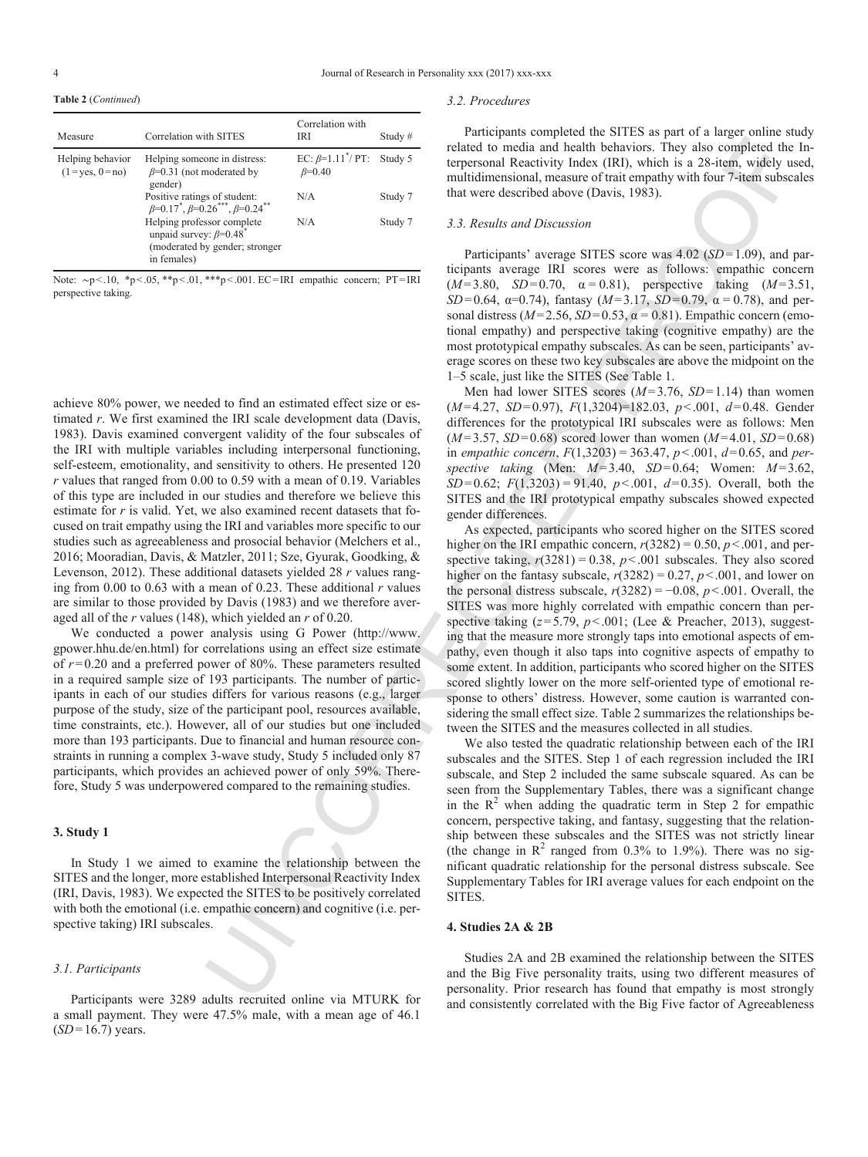**Table 2** (*Continued*)

| Measure                                 | Correlation with SITES                                                                                               | Correlation with<br><b>IRI</b>                           | Study#  |
|-----------------------------------------|----------------------------------------------------------------------------------------------------------------------|----------------------------------------------------------|---------|
| Helping behavior<br>$(1 = yes, 0 = no)$ | Helping someone in distress:<br>$\beta$ =0.31 (not moderated by<br>gender)                                           | EC: $\beta = 1.11^{\ast}/PT$ : Study 5<br>$\beta = 0.40$ |         |
|                                         | Positive ratings of student:<br>$\beta = 0.17^{\ast}, \beta = 0.26^{\ast\ast\ast}, \beta = 0.24^{\ast\ast}$          | N/A                                                      | Study 7 |
|                                         | Helping professor complete<br>unpaid survey: $\beta = 0.48^{\circ}$<br>(moderated by gender; stronger<br>in females) | N/A                                                      | Study 7 |

Note: ∼p<.10, \*p<.05, \*\*p<.01, \*\*\*p<.001. EC=IRI empathic concern; PT=IRI perspective taking.

achieve 80% power, we needed to find an estimated effect size or estimated *r*. We first examined the IRI scale development data (Davis, 1983). Davis examined convergent validity of the four subscales of the IRI with multiple variables including interpersonal functioning, self-esteem, emotionality, and sensitivity to others. He presented 120 *r* values that ranged from 0.00 to 0.59 with a mean of 0.19. Variables of this type are included in our studies and therefore we believe this estimate for *r* is valid. Yet, we also examined recent datasets that focused on trait empathy using the IRI and variables more specific to our studies such as agreeableness and prosocial behavior (Melchers et al., 2016; Mooradian, Davis, & Matzler, 2011; Sze, Gyurak, Goodking, & Levenson, 2012). These additional datasets yielded 28 *r* values ranging from 0.00 to 0.63 with a mean of 0.23. These additional *r* values are similar to those provided by Davis (1983) and we therefore averaged all of the *r* values (148), which yielded an *r* of 0.20.

We conducted a power analysis using G Power (http://www. gpower.hhu.de/en.html) for correlations using an effect size estimate of *r*=0.20 and a preferred power of 80%. These parameters resulted in a required sample size of 193 participants. The number of participants in each of our studies differs for various reasons (e.g., larger purpose of the study, size of the participant pool, resources available, time constraints, etc.). However, all of our studies but one included more than 193 participants. Due to financial and human resource constraints in running a complex 3-wave study, Study 5 included only 87 participants, which provides an achieved power of only 59%. Therefore, Study 5 was underpowered compared to the remaining studies.

# **3. Study 1**

In Study 1 we aimed to examine the relationship between the SITES and the longer, more established Interpersonal Reactivity Index (IRI, Davis, 1983). We expected the SITES to be positively correlated with both the emotional (i.e. empathic concern) and cognitive (i.e. perspective taking) IRI subscales.

# *3.1. Participants*

Participants were 3289 adults recruited online via MTURK for a small payment. They were 47.5% male, with a mean age of 46.1 (*SD*=16.7) years.

#### *3.2. Procedures*

Participants completed the SITES as part of a larger online study related to media and health behaviors. They also completed the Interpersonal Reactivity Index (IRI), which is a 28-item, widely used, multidimensional, measure of trait empathy with four 7-item subscales that were described above (Davis, 1983).

## *3.3. Results and Discussion*

Participants' average SITES score was 4.02 (*SD*=1.09), and participants average IRI scores were as follows: empathic concern (*M*=3.80, *SD*=0.70, α = 0.81), perspective taking (*M*=3.51, *SD*=0.64, α=0.74), fantasy (*M*=3.17, *SD*=0.79, α = 0.78), and personal distress ( $M=2.56$ ,  $SD=0.53$ ,  $\alpha = 0.81$ ). Empathic concern (emotional empathy) and perspective taking (cognitive empathy) are the most prototypical empathy subscales. As can be seen, participants' average scores on these two key subscales are above the midpoint on the 1–5 scale, just like the SITES (See Table 1.

Men had lower SITES scores (*M*=3.76, *SD*=1.14) than women (*M*=4.27, *SD*=0.97), *F*(1,3204)=182.03, *p*<.001, *d*=0.48. Gender differences for the prototypical IRI subscales were as follows: Men  $(M=3.57, SD=0.68)$  scored lower than women  $(M=4.01, SD=0.68)$ in *empathic concern*, *F*(1,3203) = 363.47, *p*<.001, *d*=0.65, and *perspective taking* (Men: *M*=3.40, *SD*=0.64; Women: *M*=3.62, *SD*=0.62; *F*(1,3203) = 91.40, *p*<.001, *d*=0.35). Overall, both the SITES and the IRI prototypical empathy subscales showed expected gender differences.

UNCORRECTES and best controlled to the medium of the binds behavior five prophets that the effect of the medium of the effect of the effect of the effect of the effect of the effect of the effect of the effect of the eff As expected, participants who scored higher on the SITES scored higher on the IRI empathic concern,  $r(3282) = 0.50$ ,  $p < .001$ , and perspective taking,  $r(3281) = 0.38$ ,  $p < .001$  subscales. They also scored higher on the fantasy subscale,  $r(3282) = 0.27$ ,  $p < .001$ , and lower on the personal distress subscale,  $r(3282) = -0.08$ ,  $p < .001$ . Overall, the SITES was more highly correlated with empathic concern than perspective taking ( $z=5.79$ ,  $p<.001$ ; (Lee & Preacher, 2013), suggesting that the measure more strongly taps into emotional aspects of empathy, even though it also taps into cognitive aspects of empathy to some extent. In addition, participants who scored higher on the SITES scored slightly lower on the more self-oriented type of emotional response to others' distress. However, some caution is warranted considering the small effect size. Table 2 summarizes the relationships between the SITES and the measures collected in all studies.

We also tested the quadratic relationship between each of the IRI subscales and the SITES. Step 1 of each regression included the IRI subscale, and Step 2 included the same subscale squared. As can be seen from the Supplementary Tables, there was a significant change in the  $R<sup>2</sup>$  when adding the quadratic term in Step 2 for empathic concern, perspective taking, and fantasy, suggesting that the relationship between these subscales and the SITES was not strictly linear (the change in  $\mathbb{R}^2$  ranged from 0.3% to 1.9%). There was no significant quadratic relationship for the personal distress subscale. See Supplementary Tables for IRI average values for each endpoint on the SITES.

#### **4. Studies 2A & 2B**

Studies 2A and 2B examined the relationship between the SITES and the Big Five personality traits, using two different measures of personality. Prior research has found that empathy is most strongly and consistently correlated with the Big Five factor of Agreeableness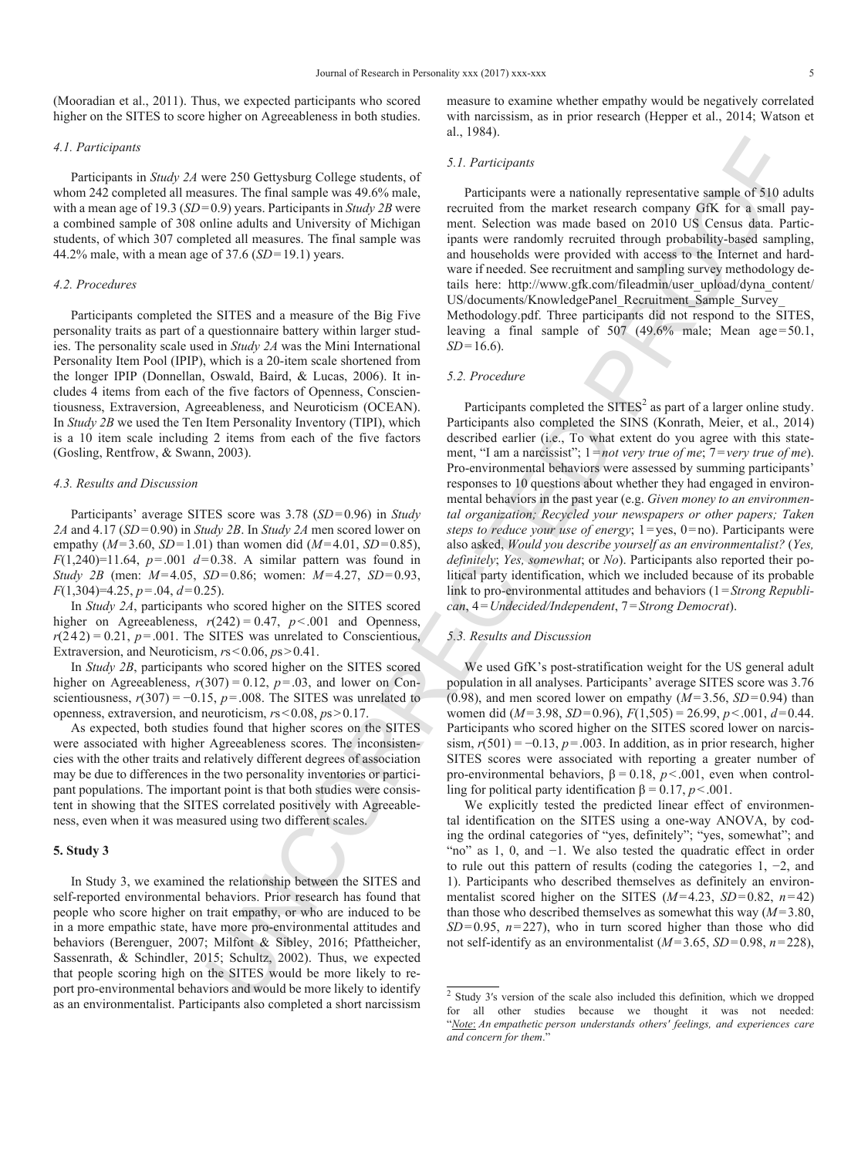(Mooradian et al., 2011). Thus, we expected participants who scored higher on the SITES to score higher on Agreeableness in both studies.

# *4.1. Participants*

Participants in *Study 2A* were 250 Gettysburg College students, of whom 242 completed all measures. The final sample was 49.6% male, with a mean age of 19.3 (*SD*=0.9) years. Participants in *Study* 2B were a combined sample of 308 online adults and University of Michigan students, of which 307 completed all measures. The final sample was 44.2% male, with a mean age of 37.6 (*SD*=19.1) years.

# *4.2. Procedures*

Participants completed the SITES and a measure of the Big Five personality traits as part of a questionnaire battery within larger studies. The personality scale used in *Study 2A* was the Mini International Personality Item Pool (IPIP), which is a 20-item scale shortened from the longer IPIP (Donnellan, Oswald, Baird, & Lucas, 2006). It includes 4 items from each of the five factors of Openness, Conscientiousness, Extraversion, Agreeableness, and Neuroticism (OCEAN). In *Study 2B* we used the Ten Item Personality Inventory (TIPI), which is a 10 item scale including 2 items from each of the five factors (Gosling, Rentfrow, & Swann, 2003).

#### *4.3. Results and Discussion*

Participants' average SITES score was 3.78 (*SD*=0.96) in *Study 2A* and 4.17 (*SD*=0.90) in *Study 2B*. In *Study 2A* men scored lower on empathy ( $M=3.60$ ,  $SD=1.01$ ) than women did ( $M=4.01$ ,  $SD=0.85$ ), *F*(1,240)=11.64, *p*=.001 *d*=0.38. A similar pattern was found in *Study 2B* (men: *M*=4.05, *SD*=0.86; women: *M*=4.27, *SD*=0.93, *F*(1,304)=4.25, *p*=.04, *d*=0.25).

In *Study 2A*, participants who scored higher on the SITES scored higher on Agreeableness,  $r(242) = 0.47$ ,  $p < .001$  and Openness,  $r(242) = 0.21$ ,  $p = .001$ . The SITES was unrelated to Conscientious, Extraversion, and Neuroticism,  $rs < 0.06$ ,  $ps > 0.41$ .

In *Study 2B*, participants who scored higher on the SITES scored higher on Agreeableness,  $r(307) = 0.12$ ,  $p = .03$ , and lower on Conscientiousness,  $r(307) = -0.15$ ,  $p = .008$ . The SITES was unrelated to openness, extraversion, and neuroticism, *r*s<0.08, *p*s>0.17.

As expected, both studies found that higher scores on the SITES were associated with higher Agreeableness scores. The inconsistencies with the other traits and relatively different degrees of association may be due to differences in the two personality inventories or participant populations. The important point is that both studies were consistent in showing that the SITES correlated positively with Agreeableness, even when it was measured using two different scales.

### **5. Study 3**

In Study 3, we examined the relationship between the SITES and self-reported environmental behaviors. Prior research has found that people who score higher on trait empathy, or who are induced to be in a more empathic state, have more pro-environmental attitudes and behaviors (Berenguer, 2007; Milfont & Sibley, 2016; Pfattheicher, Sassenrath, & Schindler, 2015; Schultz, 2002). Thus, we expected that people scoring high on the SITES would be more likely to report pro-environmental behaviors and would be more likely to identify as an environmentalist. Participants also completed a short narcissism measure to examine whether empathy would be negatively correlated with narcissism, as in prior research (Hepper et al., 2014; Watson et al., 1984).

# *5.1. Participants*

Participants were a nationally representative sample of 510 adults recruited from the market research company GfK for a small payment. Selection was made based on 2010 US Census data. Participants were randomly recruited through probability-based sampling, and households were provided with access to the Internet and hardware if needed. See recruitment and sampling survey methodology details here: http://www.gfk.com/fileadmin/user\_upload/dyna\_content/ US/documents/KnowledgePanel\_Recruitment\_Sample\_Survey\_ Methodology.pdf. Three participants did not respond to the SITES, leaving a final sample of 507 (49.6% male; Mean age=50.1,  $SD = 16.6$ ).

#### *5.2. Procedure*

son 230 Gatysherg College stackars, 63<br>  $\frac{3}{2}$  Occurs (Solong stackars, 64<br>  $\frac{3}{2}$  Occurs (Solong stackars, 64<br>  $\frac{3}{2}$  Occurs (Solong Stackars)  $\frac{3}{2}$  Occurs (Solong Stackars) (Solong Stackars) (Solong Stackar Participants completed the  $\text{SITES}^2$  as part of a larger online study. Participants also completed the SINS (Konrath, Meier, et al., 2014) described earlier (i.e., To what extent do you agree with this statement, "I am a narcissist"; 1=*not very true of me*; 7=*very true of me*). Pro-environmental behaviors were assessed by summing participants' responses to 10 questions about whether they had engaged in environmental behaviors in the past year (e.g. *Given money to an environmental organization; Recycled your newspapers or other papers; Taken steps to reduce your use of energy*; 1=yes, 0=no). Participants were also asked, *Would you describe yourself as an environmentalist?* (*Yes, definitely*; *Yes, somewhat*; or *No*). Participants also reported their political party identification, which we included because of its probable link to pro-environmental attitudes and behaviors (1=*Strong Republican*, 4=*Undecided/Independent*, 7=*Strong Democrat*).

# *5.3. Results and Discussion*

We used GfK's post-stratification weight for the US general adult population in all analyses. Participants' average SITES score was 3.76  $(0.98)$ , and men scored lower on empathy  $(M=3.56, SD=0.94)$  than women did (*M*=3.98, *SD*=0.96), *F*(1,505) = 26.99, *p*<.001, *d*=0.44. Participants who scored higher on the SITES scored lower on narcissism,  $r(501) = -0.13$ ,  $p = .003$ . In addition, as in prior research, higher SITES scores were associated with reporting a greater number of pro-environmental behaviors,  $β = 0.18$ ,  $p < .001$ , even when controlling for political party identification  $\beta = 0.17$ ,  $p < .001$ .

We explicitly tested the predicted linear effect of environmental identification on the SITES using a one-way ANOVA, by coding the ordinal categories of "yes, definitely"; "yes, somewhat"; and "no" as 1, 0, and −1. We also tested the quadratic effect in order to rule out this pattern of results (coding the categories 1, −2, and 1). Participants who described themselves as definitely an environmentalist scored higher on the SITES  $(M=4.23, SD=0.82, n=42)$ than those who described themselves as somewhat this way (*M*=3.80,  $SD=0.95$ ,  $n=227$ ), who in turn scored higher than those who did not self-identify as an environmentalist (*M*=3.65, *SD*=0.98, *n*=228),

 $2$  Study 3's version of the scale also included this definition, which we dropped for all other studies because we thought it was not needed: "*Note*: *An empathetic person understands others' feelings, and experiences care and concern for them*.'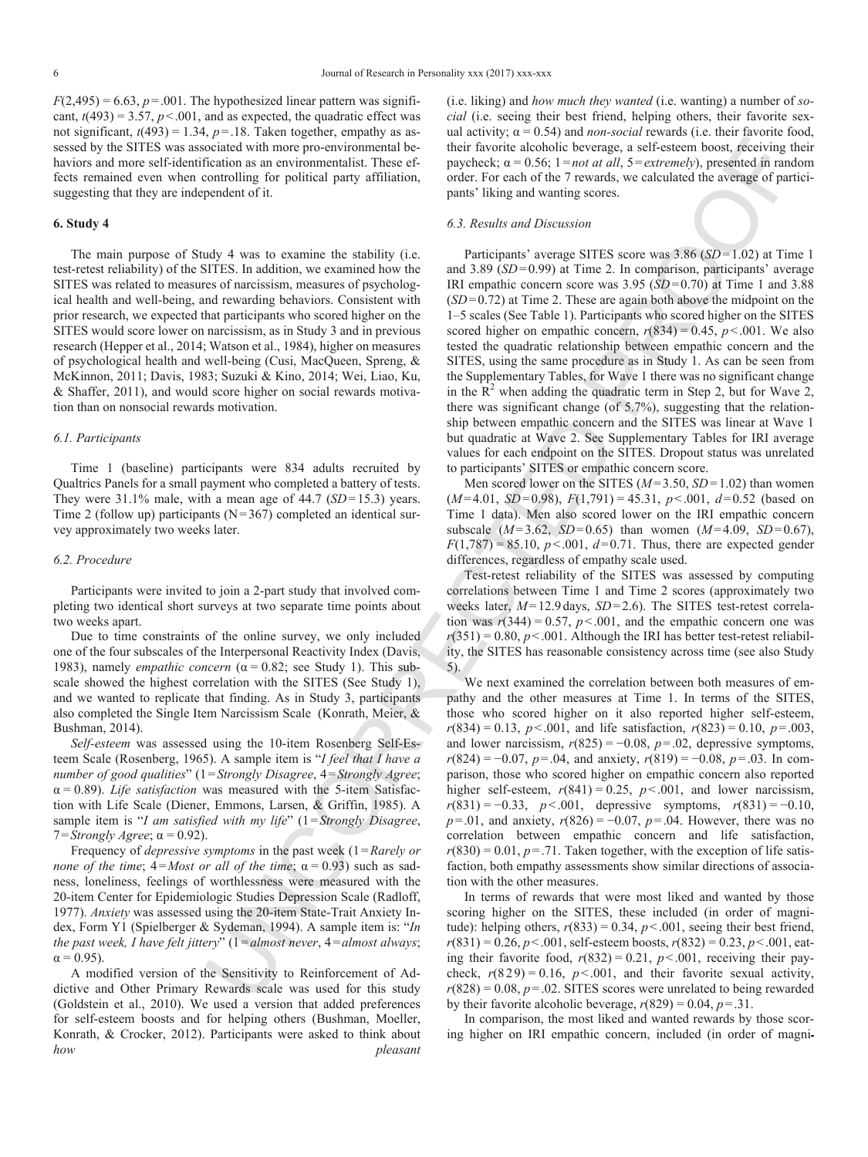$F(2,495) = 6.63$ ,  $p = .001$ . The hypothesized linear pattern was significant,  $t(493) = 3.57$ ,  $p < .001$ , and as expected, the quadratic effect was not significant,  $t(493) = 1.34$ ,  $p = 0.18$ . Taken together, empathy as assessed by the SITES was associated with more pro-environmental behaviors and more self-identification as an environmentalist. These effects remained even when controlling for political party affiliation, suggesting that they are independent of it.

### **6. Study 4**

The main purpose of Study 4 was to examine the stability (i.e. test-retest reliability) of the SITES. In addition, we examined how the SITES was related to measures of narcissism, measures of psychological health and well-being, and rewarding behaviors. Consistent with prior research, we expected that participants who scored higher on the SITES would score lower on narcissism, as in Study 3 and in previous research (Hepper et al., 2014; Watson et al., 1984), higher on measures of psychological health and well-being (Cusi, MacQueen, Spreng, & McKinnon, 2011; Davis, 1983; Suzuki & Kino, 2014; Wei, Liao, Ku, & Shaffer, 2011), and would score higher on social rewards motivation than on nonsocial rewards motivation.

#### *6.1. Participants*

Time 1 (baseline) participants were 834 adults recruited by Qualtrics Panels for a small payment who completed a battery of tests. They were 31.1% male, with a mean age of 44.7 (*SD*=15.3) years. Time 2 (follow up) participants ( $N=367$ ) completed an identical survey approximately two weeks later.

#### *6.2. Procedure*

Participants were invited to join a 2-part study that involved completing two identical short surveys at two separate time points about two weeks apart.

Due to time constraints of the online survey, we only included one of the four subscales of the Interpersonal Reactivity Index (Davis, 1983), namely *empathic concern*  $(\alpha = 0.82)$ ; see Study 1). This subscale showed the highest correlation with the SITES (See Study 1), and we wanted to replicate that finding. As in Study 3, participants also completed the Single Item Narcissism Scale (Konrath, Meier, & Bushman, 2014).

*Self-esteem* was assessed using the 10-item Rosenberg Self-Esteem Scale (Rosenberg, 1965). A sample item is "*I feel that I have a number of good qualities*" (1=*Strongly Disagree*, 4=*Strongly Agree*;  $\alpha$  = 0.89). *Life satisfaction* was measured with the 5-item Satisfaction with Life Scale (Diener, Emmons, Larsen, & Griffin, 1985). A sample item is "*I am satisfied with my life*" (1=*Strongly Disagree*, 7=*Strongly Agree*; α = 0.92).

Frequency of *depressive symptoms* in the past week (1=*Rarely or none of the time*;  $4 = Most$  *or all of the time*;  $\alpha = 0.93$ ) such as sadness, loneliness, feelings of worthlessness were measured with the 20-item Center for Epidemiologic Studies Depression Scale (Radloff, 1977). *Anxiety* was assessed using the 20-item State-Trait Anxiety Index, Form Y1 (Spielberger & Sydeman, 1994). A sample item is: "*In the past week, I have felt jittery*" (1=*almost never*, 4=*almost always*;  $\alpha$  = 0.95).

A modified version of the Sensitivity to Reinforcement of Addictive and Other Primary Rewards scale was used for this study (Goldstein et al., 2010). We used a version that added preferences for self-esteem boosts and for helping others (Bushman, Moeller, Konrath, & Crocker, 2012). Participants were asked to think about *how pleasant*

(i.e. liking) and *how much they wanted* (i.e. wanting) a number of *social* (i.e. seeing their best friend, helping others, their favorite sexual activity;  $\alpha = 0.54$ ) and *non-social* rewards (i.e. their favorite food, their favorite alcoholic beverage, a self-esteem boost, receiving their paycheck; α = 0.56; 1=*not at all*, 5=*extremely*), presented in random order. For each of the 7 rewards, we calculated the average of participants' liking and wanting scores.

#### *6.3. Results and Discussion*

Since two mass proportions and the fit for the other hands the state in the state in the state in the state in the state in the state in the state in the state in the state in the state in the state in the state in the st Participants' average SITES score was 3.86 (*SD*=1.02) at Time 1 and 3.89 (*SD*=0.99) at Time 2. In comparison, participants' average IRI empathic concern score was 3.95 (*SD*=0.70) at Time 1 and 3.88 (*SD*=0.72) at Time 2. These are again both above the midpoint on the 1–5 scales (See Table 1). Participants who scored higher on the SITES scored higher on empathic concern,  $r(834) = 0.45$ ,  $p < .001$ . We also tested the quadratic relationship between empathic concern and the SITES, using the same procedure as in Study 1. As can be seen from the Supplementary Tables, for Wave 1 there was no significant change in the  $\mathbb{R}^2$  when adding the quadratic term in Step 2, but for Wave 2, there was significant change (of 5.7%), suggesting that the relationship between empathic concern and the SITES was linear at Wave 1 but quadratic at Wave 2. See Supplementary Tables for IRI average values for each endpoint on the SITES. Dropout status was unrelated to participants' SITES or empathic concern score.

Men scored lower on the SITES (*M*=3.50, *SD*=1.02) than women  $(M=4.01, SD=0.98), F(1,791) = 45.31, p < .001, d=0.52$  (based on Time 1 data). Men also scored lower on the IRI empathic concern subscale  $(M=3.62, SD=0.65)$  than women  $(M=4.09, SD=0.67)$ ,  $F(1,787) = 85.10, p < .001, d = 0.71$ . Thus, there are expected gender differences, regardless of empathy scale used.

Test-retest reliability of the SITES was assessed by computing correlations between Time 1 and Time 2 scores (approximately two weeks later, *M*=12.9days, *SD*=2.6). The SITES test-retest correlation was  $r(344) = 0.57$ ,  $p < .001$ , and the empathic concern one was  $r(351) = 0.80, p < .001$ . Although the IRI has better test-retest reliability, the SITES has reasonable consistency across time (see also Study 5).

We next examined the correlation between both measures of empathy and the other measures at Time 1. In terms of the SITES, those who scored higher on it also reported higher self-esteem,  $r(834) = 0.13$ ,  $p < .001$ , and life satisfaction,  $r(823) = 0.10$ ,  $p = .003$ , and lower narcissism,  $r(825) = -0.08$ ,  $p = .02$ , depressive symptoms, *r*(824) = −0.07, *p*=.04, and anxiety, *r*(819) = −0.08, *p*=.03. In comparison, those who scored higher on empathic concern also reported higher self-esteem,  $r(841) = 0.25$ ,  $p < .001$ , and lower narcissism, *r*(831) = −0.33, *p* < 0.01, depressive symptoms, *r*(831) = −0.10, *p*=.01, and anxiety, *r*(826) = −0.07, *p*=.04. However, there was no correlation between empathic concern and life satisfaction,  $r(830) = 0.01$ ,  $p = .71$ . Taken together, with the exception of life satisfaction, both empathy assessments show similar directions of association with the other measures.

In terms of rewards that were most liked and wanted by those scoring higher on the SITES, these included (in order of magnitude): helping others,  $r(833) = 0.34$ ,  $p < .001$ , seeing their best friend, *r*(831) = 0.26, *p*<.001, self-esteem boosts, *r*(832) = 0.23, *p*<.001, eating their favorite food,  $r(832) = 0.21$ ,  $p < .001$ , receiving their paycheck,  $r(829) = 0.16$ ,  $p < .001$ , and their favorite sexual activity,  $r(828) = 0.08$ ,  $p = .02$ . SITES scores were unrelated to being rewarded by their favorite alcoholic beverage,  $r(829) = 0.04$ ,  $p = .31$ .

In comparison, the most liked and wanted rewards by those scoring higher on IRI empathic concern, included (in order of magni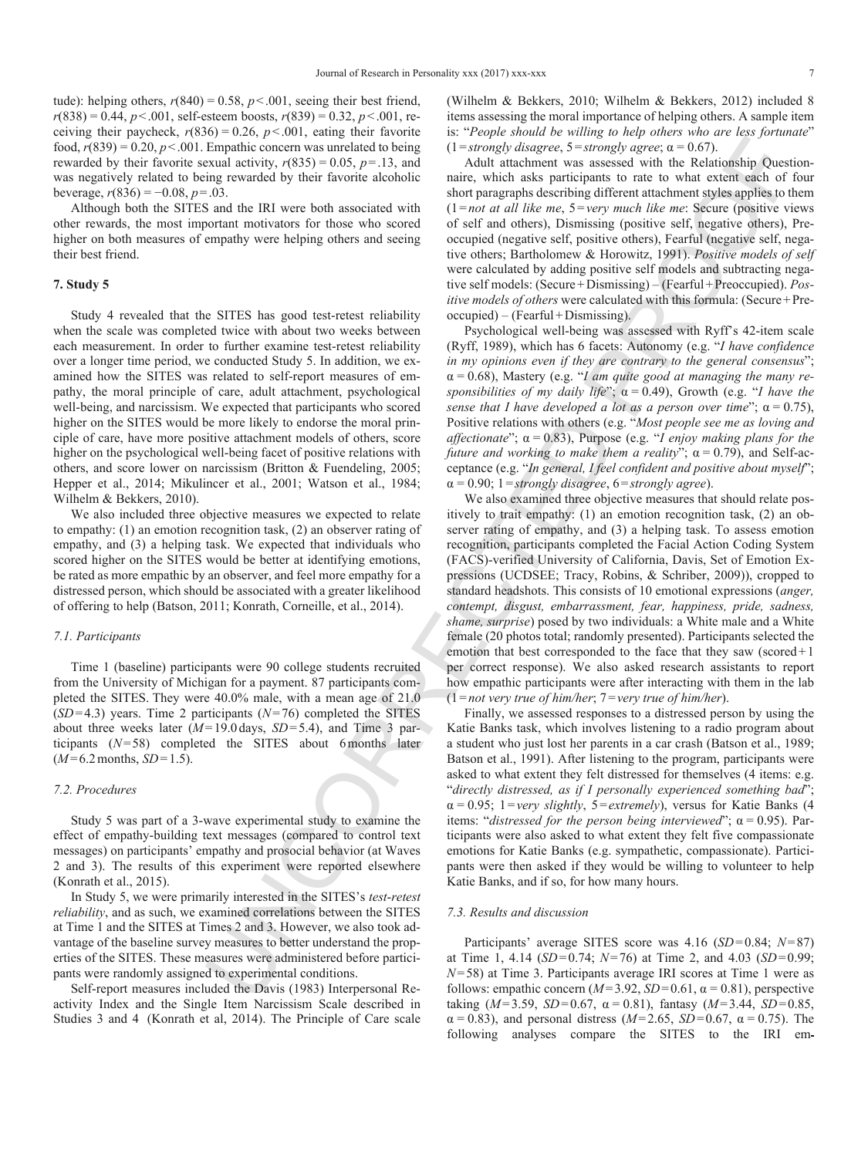tude): helping others,  $r(840) = 0.58$ ,  $p < .001$ , seeing their best friend,  $r(838) = 0.44$ ,  $p < .001$ , self-esteem boosts,  $r(839) = 0.32$ ,  $p < .001$ , receiving their paycheck,  $r(836) = 0.26$ ,  $p < .001$ , eating their favorite food,  $r(839) = 0.20, p < .001$ . Empathic concern was unrelated to being rewarded by their favorite sexual activity,  $r(835) = 0.05$ ,  $p = .13$ , and was negatively related to being rewarded by their favorite alcoholic beverage,  $r(836) = -0.08$ ,  $p = .03$ .

Although both the SITES and the IRI were both associated with other rewards, the most important motivators for those who scored higher on both measures of empathy were helping others and seeing their best friend.

# **7. Study 5**

Study 4 revealed that the SITES has good test-retest reliability when the scale was completed twice with about two weeks between each measurement. In order to further examine test-retest reliability over a longer time period, we conducted Study 5. In addition, we examined how the SITES was related to self-report measures of empathy, the moral principle of care, adult attachment, psychological well-being, and narcissism. We expected that participants who scored higher on the SITES would be more likely to endorse the moral principle of care, have more positive attachment models of others, score higher on the psychological well-being facet of positive relations with others, and score lower on narcissism (Britton & Fuendeling, 2005; Hepper et al., 2014; Mikulincer et al., 2001; Watson et al., 1984; Wilhelm & Bekkers, 2010).

We also included three objective measures we expected to relate to empathy: (1) an emotion recognition task, (2) an observer rating of empathy, and (3) a helping task. We expected that individuals who scored higher on the SITES would be better at identifying emotions, be rated as more empathic by an observer, and feel more empathy for a distressed person, which should be associated with a greater likelihood of offering to help (Batson, 2011; Konrath, Corneille, et al., 2014).

### *7.1. Participants*

Time 1 (baseline) participants were 90 college students recruited from the University of Michigan for a payment. 87 participants completed the SITES. They were 40.0% male, with a mean age of 21.0 (*SD*=4.3) years. Time 2 participants (*N*=76) completed the SITES about three weeks later  $(M=19.0 \text{ days}, SD=5.4)$ , and Time 3 participants (*N*=58) completed the SITES about 6months later  $(M=6.2 \text{ months}, SD=1.5)$ .

#### *7.2. Procedures*

Study 5 was part of a 3-wave experimental study to examine the effect of empathy-building text messages (compared to control text messages) on participants' empathy and prosocial behavior (at Waves 2 and 3). The results of this experiment were reported elsewhere (Konrath et al., 2015).

In Study 5, we were primarily interested in the SITES's *test*-*retest reliability*, and as such, we examined correlations between the SITES at Time 1 and the SITES at Times 2 and 3. However, we also took advantage of the baseline survey measures to better understand the properties of the SITES. These measures were administered before participants were randomly assigned to experimental conditions.

Self-report measures included the Davis (1983) Interpersonal Reactivity Index and the Single Item Narcissism Scale described in Studies 3 and 4 (Konrath et al, 2014). The Principle of Care scale

(Wilhelm & Bekkers, 2010; Wilhelm & Bekkers, 2012) included 8 items assessing the moral importance of helping others. A sample item is: "*People should be willing to help others who are less fortunate*"  $(1 = \text{strongly disagree}, 5 = \text{strongly agree}, \alpha = 0.67).$ 

Adult attachment was assessed with the Relationship Questionnaire, which asks participants to rate to what extent each of four short paragraphs describing different attachment styles applies to them (1=*not at all like me*, 5=*very much like me*: Secure (positive views of self and others), Dismissing (positive self, negative others), Preoccupied (negative self, positive others), Fearful (negative self, negative others; Bartholomew & Horowitz, 1991). *Positive models of self* were calculated by adding positive self models and subtracting negative self models: (Secure+Dismissing) – (Fearful+Preoccupied). *Positive models of others* were calculated with this formula: (Secure+Preoccupied) – (Fearful+Dismissing).

Psychological well-being was assessed with Ryff's 42-item scale (Ryff, 1989), which has 6 facets: Autonomy (e.g. "*I have confidence in my opinions even if they are contrary to the general consensus*";  $\alpha = 0.68$ ), Mastery (e.g. "*I am quite good at managing the many responsibilities of my daily life*"; α = 0.49), Growth (e.g. "*I have the sense that I* have *developed a lot as a person over time*";  $\alpha = 0.75$ ), Positive relations with others (e.g. "*Most people see me as loving and affectionate*"; α = 0.83), Purpose (e.g. "*I enjoy making plans for the future and working to make them a reality*";  $\alpha = 0.79$ ), and Self-acceptance (e.g. "*In general, I feel confident and positive about myself*"; α = 0.90; 1=*strongly disagree*, 6=*strongly agree*).

Empire consert was united to be the consert of the consert of the consert of the consert of the consert of the consert of the consert of the consert of the consert of the consert of the consert of the consert of the conse We also examined three objective measures that should relate positively to trait empathy: (1) an emotion recognition task, (2) an observer rating of empathy, and (3) a helping task. To assess emotion recognition, participants completed the Facial Action Coding System (FACS)-verified University of California, Davis, Set of Emotion Expressions (UCDSEE; Tracy, Robins, & Schriber, 2009)), cropped to standard headshots. This consists of 10 emotional expressions (*anger, contempt, disgust, embarrassment, fear, happiness, pride, sadness, shame, surprise*) posed by two individuals: a White male and a White female (20 photos total; randomly presented). Participants selected the emotion that best corresponded to the face that they saw (scored  $+1$ ) per correct response). We also asked research assistants to report how empathic participants were after interacting with them in the lab (1=*not very true of him/her*; 7=*very true of him/her*).

Finally, we assessed responses to a distressed person by using the Katie Banks task, which involves listening to a radio program about a student who just lost her parents in a car crash (Batson et al., 1989; Batson et al., 1991). After listening to the program, participants were asked to what extent they felt distressed for themselves (4 items: e.g. "*directly distressed, as if I personally experienced something bad*"; α = 0.95; 1=*very slightly*, 5=*extremely*), versus for Katie Banks (4 items: "*distressed for the person being interviewed*"; α = 0.95). Participants were also asked to what extent they felt five compassionate emotions for Katie Banks (e.g. sympathetic, compassionate). Participants were then asked if they would be willing to volunteer to help Katie Banks, and if so, for how many hours.

#### *7.3. Results and discussion*

Participants' average SITES score was 4.16 (*SD*=0.84; *N*=87) at Time 1, 4.14 (*SD*=0.74; *N*=76) at Time 2, and 4.03 (*SD*=0.99; *N*=58) at Time 3. Participants average IRI scores at Time 1 were as follows: empathic concern  $(M=3.92, SD=0.61, \alpha = 0.81)$ , perspective taking  $(M=3.59, SD=0.67, \alpha = 0.81)$ , fantasy  $(M=3.44, SD=0.85,$  $α = 0.83$ ), and personal distress ( $M = 2.65$ ,  $SD = 0.67$ ,  $α = 0.75$ ). The following analyses compare the SITES to the IRI em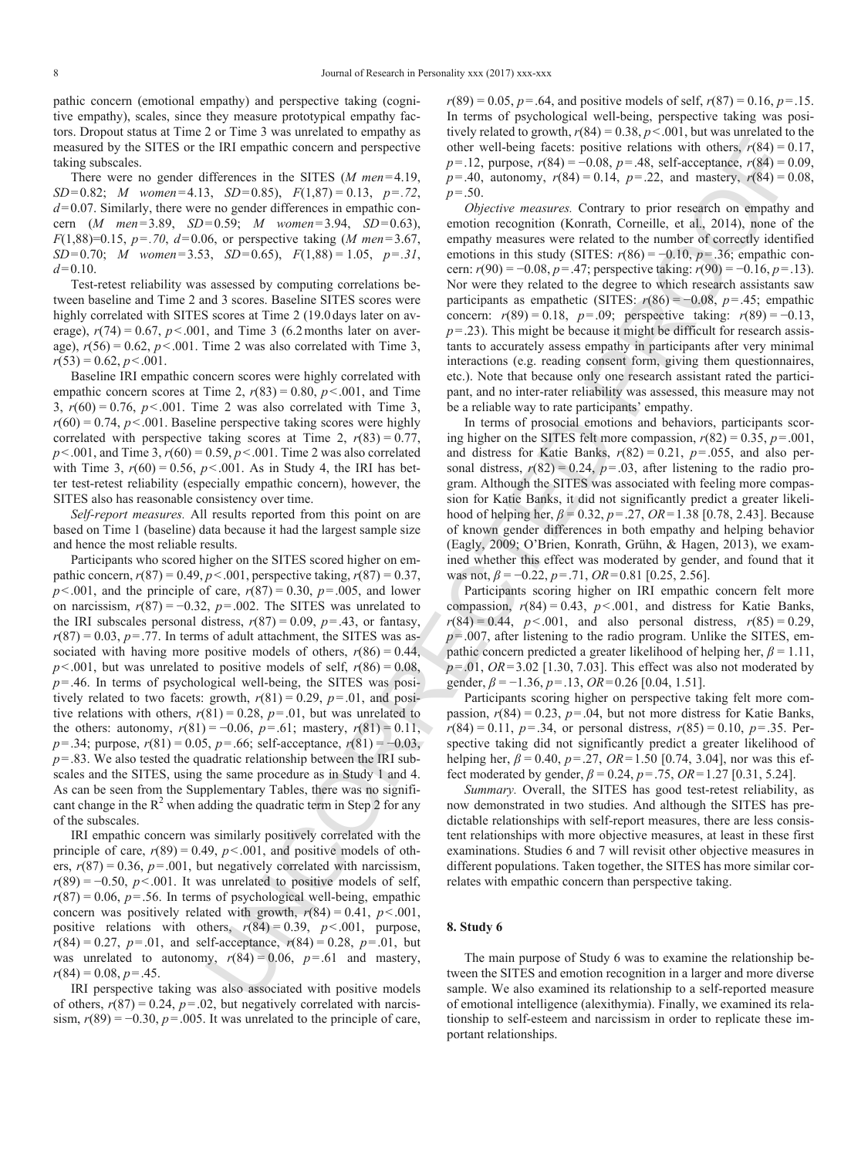pathic concern (emotional empathy) and perspective taking (cognitive empathy), scales, since they measure prototypical empathy factors. Dropout status at Time 2 or Time 3 was unrelated to empathy as measured by the SITES or the IRI empathic concern and perspective taking subscales.

There were no gender differences in the SITES (*M men*=4.19, *SD*=0.82; *M women*=4.13, *SD*=0.85), *F*(1,87) = 0.13, *p*=*.72*,  $d=0.07$ . Similarly, there were no gender differences in empathic concern (*M men*=3.89, *SD*=0.59; *M women*=3.94, *SD*=0.63), *F*(1,88)=0.15, *p*=*.70*, *d*=0.06, or perspective taking (*M men*=3.67, *SD*=0.70; *M women*=3.53, *SD*=0.65), *F*(1,88) = 1.05, *p*=*.31*,  $d=0.10$ .

Test-retest reliability was assessed by computing correlations between baseline and Time 2 and 3 scores. Baseline SITES scores were highly correlated with SITES scores at Time 2 (19.0 days later on average),  $r(74) = 0.67$ ,  $p < .001$ , and Time 3 (6.2 months later on average),  $r(56) = 0.62$ ,  $p < .001$ . Time 2 was also correlated with Time 3,  $r(53) = 0.62, p < .001.$ 

Baseline IRI empathic concern scores were highly correlated with empathic concern scores at Time 2,  $r(83) = 0.80$ ,  $p < .001$ , and Time 3,  $r(60) = 0.76$ ,  $p < .001$ . Time 2 was also correlated with Time 3,  $r(60) = 0.74$ ,  $p < .001$ . Baseline perspective taking scores were highly correlated with perspective taking scores at Time 2,  $r(83) = 0.77$ ,  $p < .001$ , and Time 3,  $r(60) = 0.59$ ,  $p < .001$ . Time 2 was also correlated with Time 3,  $r(60) = 0.56$ ,  $p < .001$ . As in Study 4, the IRI has better test-retest reliability (especially empathic concern), however, the SITES also has reasonable consistency over time.

*Self-report measures.* All results reported from this point on are based on Time 1 (baseline) data because it had the largest sample size and hence the most reliable results.

Participants who scored higher on the SITES scored higher on empathic concern,  $r(87) = 0.49$ ,  $p < .001$ , perspective taking,  $r(87) = 0.37$ ,  $p < .001$ , and the principle of care,  $r(87) = 0.30$ ,  $p = .005$ , and lower on narcissism,  $r(87) = -0.32$ ,  $p = .002$ . The SITES was unrelated to the IRI subscales personal distress,  $r(87) = 0.09$ ,  $p = .43$ , or fantasy,  $r(87) = 0.03$ ,  $p = .77$ . In terms of adult attachment, the SITES was associated with having more positive models of others,  $r(86) = 0.44$ ,  $p$ <.001, but was unrelated to positive models of self,  $r(86) = 0.08$ ,  $p = .46$ . In terms of psychological well-being, the SITES was positively related to two facets: growth,  $r(81) = 0.29$ ,  $p = .01$ , and positive relations with others,  $r(81) = 0.28$ ,  $p = .01$ , but was unrelated to the others: autonomy,  $r(81) = -0.06$ ,  $p = .61$ ; mastery,  $r(81) = 0.11$ , *p*=.34; purpose, *r*(81) = 0.05, *p*=.66; self-acceptance, *r*(81) = −0.03,  $p = 0.83$ . We also tested the quadratic relationship between the IRI subscales and the SITES, using the same procedure as in Study 1 and 4. As can be seen from the Supplementary Tables, there was no significant change in the  $R^2$  when adding the quadratic term in Step 2 for any of the subscales.

IRI empathic concern was similarly positively correlated with the principle of care,  $r(89) = 0.49$ ,  $p < .001$ , and positive models of others,  $r(87) = 0.36$ ,  $p = .001$ , but negatively correlated with narcissism,  $r(89) = -0.50$ ,  $p < .001$ . It was unrelated to positive models of self,  $r(87) = 0.06$ ,  $p = .56$ . In terms of psychological well-being, empathic concern was positively related with growth,  $r(84) = 0.41$ ,  $p < .001$ , positive relations with others,  $r(84) = 0.39$ ,  $p < .001$ , purpose,  $r(84) = 0.27$ ,  $p = .01$ , and self-acceptance,  $r(84) = 0.28$ ,  $p = .01$ , but was unrelated to autonomy,  $r(84) = 0.06$ ,  $p = .61$  and mastery,  $r(84) = 0.08$ ,  $p = 0.45$ .

IRI perspective taking was also associated with positive models of others,  $r(87) = 0.24$ ,  $p = .02$ , but negatively correlated with narcissism,  $r(89) = -0.30$ ,  $p = .005$ . It was unrelated to the principle of care,

 $r(89) = 0.05$ ,  $p = .64$ , and positive models of self,  $r(87) = 0.16$ ,  $p = .15$ . In terms of psychological well-being, perspective taking was positively related to growth,  $r(84) = 0.38$ ,  $p < .001$ , but was unrelated to the other well-being facets: positive relations with others,  $r(84) = 0.17$ , *p*=.12, purpose, *r*(84) = −0.08, *p*=.48, self-acceptance, *r*(84) = 0.09,  $p = .40$ , autonomy,  $r(84) = 0.14$ ,  $p = .22$ , and mastery,  $r(84) = 0.08$ , *p*=.50.

is RI compute consern and perspective<br>  $p = 12$ , partner, edditing once with both partner, edditing the experiment only and the stationary of the conservation of the stationary of the conservation of the stationary of the *Objective measures.* Contrary to prior research on empathy and emotion recognition (Konrath, Corneille, et al., 2014), none of the empathy measures were related to the number of correctly identified emotions in this study (SITES:  $r(86) = -0.10$ ,  $p = 0.36$ ; empathic concern:  $r(90) = -0.08$ ,  $p = .47$ ; perspective taking:  $r(90) = -0.16$ ,  $p = .13$ ). Nor were they related to the degree to which research assistants saw participants as empathetic (SITES: *r*(86) = −0.08, *p*=.45; empathic concern:  $r(89) = 0.18$ ,  $p = .09$ ; perspective taking:  $r(89) = -0.13$ ,  $p = 23$ ). This might be because it might be difficult for research assistants to accurately assess empathy in participants after very minimal interactions (e.g. reading consent form, giving them questionnaires, etc.). Note that because only one research assistant rated the participant, and no inter-rater reliability was assessed, this measure may not be a reliable way to rate participants' empathy.

In terms of prosocial emotions and behaviors, participants scoring higher on the SITES felt more compassion,  $r(82) = 0.35$ ,  $p = .001$ , and distress for Katie Banks,  $r(82) = 0.21$ ,  $p = .055$ , and also personal distress,  $r(82) = 0.24$ ,  $p = .03$ , after listening to the radio program. Although the SITES was associated with feeling more compassion for Katie Banks, it did not significantly predict a greater likelihood of helping her, *β* = 0.32, *p*=.27, *OR*=1.38 [0.78, 2.43]. Because of known gender differences in both empathy and helping behavior (Eagly, 2009; O'Brien, Konrath, Grühn, & Hagen, 2013), we examined whether this effect was moderated by gender, and found that it was not, *β* = −0.22, *p*=.71, *OR*=0.81 [0.25, 2.56].

Participants scoring higher on IRI empathic concern felt more compassion,  $r(84) = 0.43$ ,  $p < .001$ , and distress for Katie Banks,  $r(84) = 0.44$ ,  $p < .001$ , and also personal distress,  $r(85) = 0.29$ , *p*=.007, after listening to the radio program. Unlike the SITES, empathic concern predicted a greater likelihood of helping her,  $\beta = 1.11$ ,  $p=0.01$ ,  $OR=3.02$  [1.30, 7.03]. This effect was also not moderated by gender, *β* = −1.36, *p*=.13, *OR*=0.26 [0.04, 1.51].

Participants scoring higher on perspective taking felt more compassion,  $r(84) = 0.23$ ,  $p = .04$ , but not more distress for Katie Banks,  $r(84) = 0.11$ ,  $p = .34$ , or personal distress,  $r(85) = 0.10$ ,  $p = .35$ . Perspective taking did not significantly predict a greater likelihood of helping her, *β* = 0.40, *p*=.27, *OR*=1.50 [0.74, 3.04], nor was this effect moderated by gender,  $\beta = 0.24$ ,  $p = .75$ ,  $OR = 1.27$  [0.31, 5.24].

*Summary.* Overall, the SITES has good test-retest reliability, as now demonstrated in two studies. And although the SITES has predictable relationships with self-report measures, there are less consistent relationships with more objective measures, at least in these first examinations. Studies 6 and 7 will revisit other objective measures in different populations. Taken together, the SITES has more similar correlates with empathic concern than perspective taking.

# **8. Study 6**

The main purpose of Study 6 was to examine the relationship between the SITES and emotion recognition in a larger and more diverse sample. We also examined its relationship to a self-reported measure of emotional intelligence (alexithymia). Finally, we examined its relationship to self-esteem and narcissism in order to replicate these important relationships.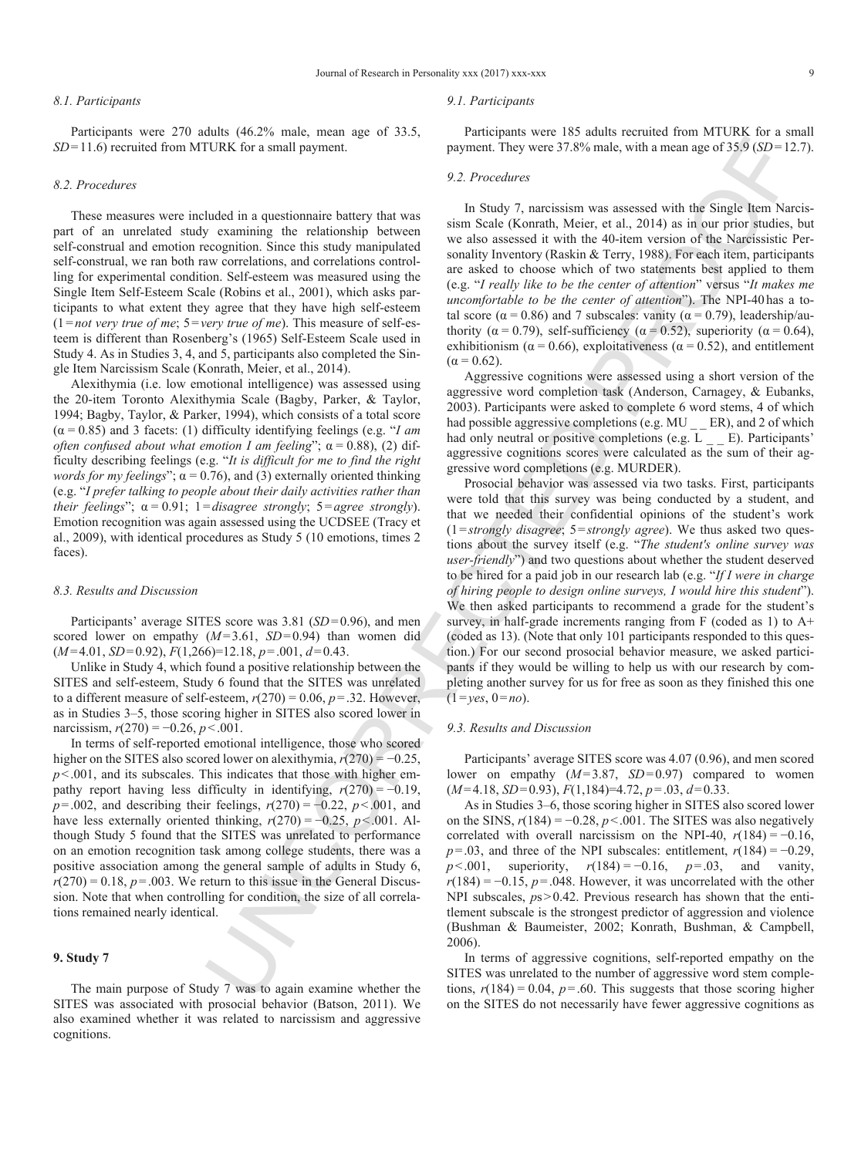# *8.1. Participants*

Participants were 270 adults (46.2% male, mean age of 33.5, *SD*=11.6) recruited from MTURK for a small payment.

#### *8.2. Procedures*

These measures were included in a questionnaire battery that was part of an unrelated study examining the relationship between self-construal and emotion recognition. Since this study manipulated self-construal, we ran both raw correlations, and correlations controlling for experimental condition. Self-esteem was measured using the Single Item Self-Esteem Scale (Robins et al., 2001), which asks participants to what extent they agree that they have high self-esteem  $(1 = not \, very \, true \, of \, me; 5 = very \, true \, of \, me)$ . This measure of self-esteem is different than Rosenberg's (1965) Self-Esteem Scale used in Study 4. As in Studies 3, 4, and 5, participants also completed the Single Item Narcissism Scale (Konrath, Meier, et al., 2014).

Alexithymia (i.e. low emotional intelligence) was assessed using the 20-item Toronto Alexithymia Scale (Bagby, Parker, & Taylor, 1994; Bagby, Taylor, & Parker, 1994), which consists of a total score (α = 0.85) and 3 facets: (1) difficulty identifying feelings (e.g. "*I am often confused about what emotion I am feeling*";  $\alpha = 0.88$ ), (2) difficulty describing feelings (e.g. "*It is difficult for me to find the right words for my feelings*";  $\alpha = 0.76$ ), and (3) externally oriented thinking (e.g. "*I prefer talking to people about their daily activities rather than their feelings*";  $\alpha = 0.91$ ; 1=*disagree strongly*; 5=*agree strongly*). Emotion recognition was again assessed using the UCDSEE (Tracy et al., 2009), with identical procedures as Study 5 (10 emotions, times 2 faces).

### *8.3. Results and Discussion*

Participants' average SITES score was 3.81 (*SD*=0.96), and men scored lower on empathy (*M*=3.61, *SD*=0.94) than women did (*M*=4.01, *SD*=0.92), *F*(1,266)=12.18, *p*=.001, *d*=0.43.

Unlike in Study 4, which found a positive relationship between the SITES and self-esteem, Study 6 found that the SITES was unrelated to a different measure of self-esteem,  $r(270) = 0.06$ ,  $p = 0.32$ . However, as in Studies 3–5, those scoring higher in SITES also scored lower in narcissism,  $r(270) = -0.26$ ,  $p < .001$ .

In terms of self-reported emotional intelligence, those who scored higher on the SITES also scored lower on alexithymia, *r*(270) = −0.25,  $p<.001$ , and its subscales. This indicates that those with higher empathy report having less difficulty in identifying,  $r(270) = -0.19$ , *p*=.002, and describing their feelings,  $r(270) = -0.22$ ,  $p < .001$ , and have less externally oriented thinking,  $r(270) = -0.25$ ,  $p < .001$ . Although Study 5 found that the SITES was unrelated to performance on an emotion recognition task among college students, there was a positive association among the general sample of adults in Study 6,  $r(270) = 0.18$ ,  $p = .003$ . We return to this issue in the General Discussion. Note that when controlling for condition, the size of all correlations remained nearly identical.

# **9. Study 7**

The main purpose of Study 7 was to again examine whether the SITES was associated with prosocial behavior (Batson, 2011). We also examined whether it was related to narcissism and aggressive cognitions.

#### *9.1. Participants*

Participants were 185 adults recruited from MTURK for a small payment. They were 37.8% male, with a mean age of 35.9 (*SD*=12.7).

# *9.2. Procedures*

In Study 7, narcissism was assessed with the Single Item Narcissism Scale (Konrath, Meier, et al., 2014) as in our prior studies, but we also assessed it with the 40-item version of the Narcissistic Personality Inventory (Raskin & Terry, 1988). For each item, participants are asked to choose which of two statements best applied to them (e.g. "*I really like to be the center of attention*" versus "*It makes me uncomfortable to be the center of attention*"). The NPI-40has a total score ( $\alpha$  = 0.86) and 7 subscales: vanity ( $\alpha$  = 0.79), leadership/authority ( $\alpha = 0.79$ ), self-sufficiency ( $\alpha = 0.52$ ), superiority ( $\alpha = 0.64$ ), exhibitionism ( $\alpha$  = 0.66), exploitativeness ( $\alpha$  = 0.52), and entitlement  $(\alpha = 0.62)$ .

Aggressive cognitions were assessed using a short version of the aggressive word completion task (Anderson, Carnagey, & Eubanks, 2003). Participants were asked to complete 6 word stems, 4 of which had possible aggressive completions (e.g. MU ER), and 2 of which had only neutral or positive completions (e.g. L \_ \_ E). Participants' aggressive cognitions scores were calculated as the sum of their aggressive word completions (e.g. MURDER).

TURK for a small psyrmet. They were 57.8% male, with a mean or of 380.00-12.7).<br>
Undel in a genericanistic between the state (Kenette with the State of the State Technique and the State Technique and the State Technique a Prosocial behavior was assessed via two tasks. First, participants were told that this survey was being conducted by a student, and that we needed their confidential opinions of the student's work (1=*strongly disagree*; 5=*strongly agree*). We thus asked two questions about the survey itself (e.g. "*The student's online survey was user-friendly*") and two questions about whether the student deserved to be hired for a paid job in our research lab (e.g. "*If I were in charge of hiring people to design online surveys, I would hire this student*"). We then asked participants to recommend a grade for the student's survey, in half-grade increments ranging from F (coded as 1) to A+ (coded as 13). (Note that only 101 participants responded to this question.) For our second prosocial behavior measure, we asked participants if they would be willing to help us with our research by completing another survey for us for free as soon as they finished this one  $(1=$ *yes*,  $0=$ *no*).

## *9.3. Results and Discussion*

Participants' average SITES score was 4.07 (0.96), and men scored lower on empathy (*M*=3.87, *SD*=0.97) compared to women (*M*=4.18, *SD*=0.93), *F*(1,184)=4.72, *p*=.03, *d*=0.33.

As in Studies 3–6, those scoring higher in SITES also scored lower on the SINS,  $r(184) = -0.28$ ,  $p < .001$ . The SITES was also negatively correlated with overall narcissism on the NPI-40,  $r(184) = -0.16$ ,  $p=0.03$ , and three of the NPI subscales: entitlement,  $r(184) = -0.29$ , *p* < 0.01, superiority, *r*(184) = −0.16, *p* = 0.03, and vanity,  $r(184) = -0.15$ ,  $p = 0.048$ . However, it was uncorrelated with the other NPI subscales,  $p s > 0.42$ . Previous research has shown that the entitlement subscale is the strongest predictor of aggression and violence (Bushman & Baumeister, 2002; Konrath, Bushman, & Campbell, 2006).

In terms of aggressive cognitions, self-reported empathy on the SITES was unrelated to the number of aggressive word stem completions,  $r(184) = 0.04$ ,  $p = .60$ . This suggests that those scoring higher on the SITES do not necessarily have fewer aggressive cognitions as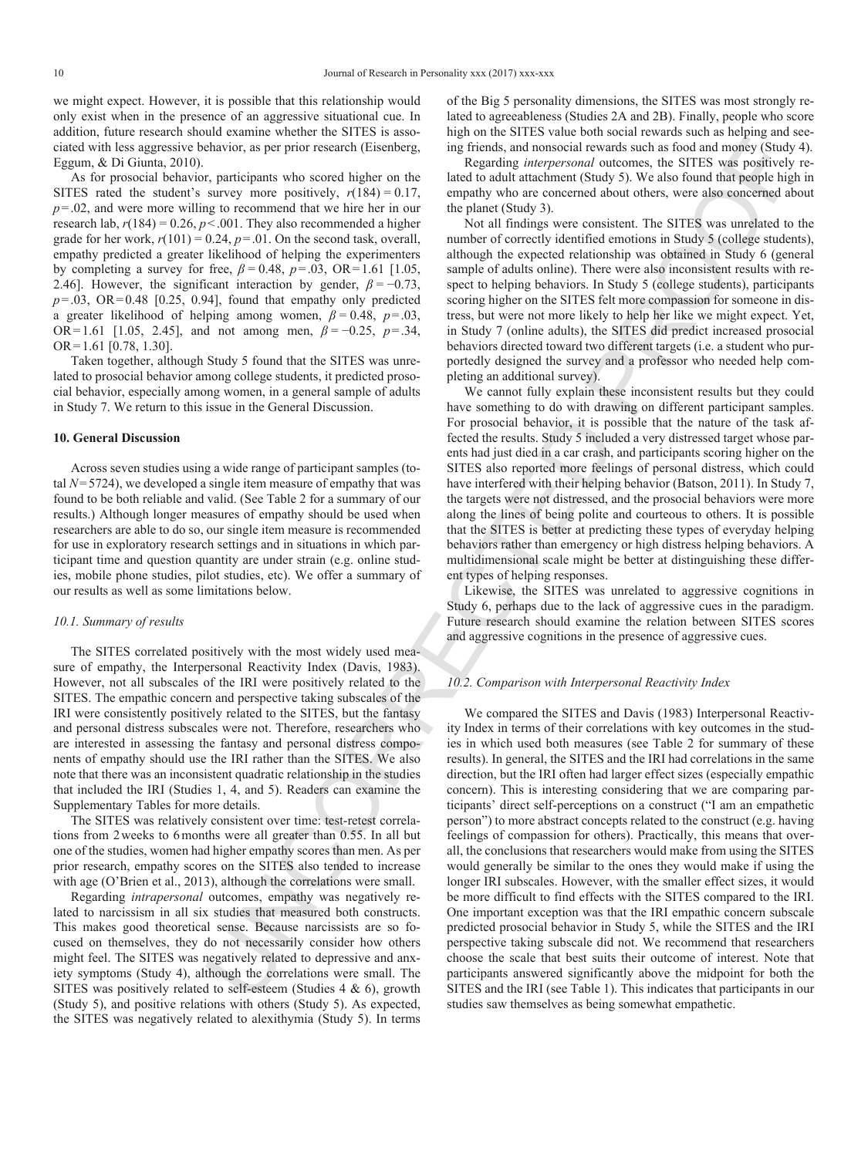we might expect. However, it is possible that this relationship would only exist when in the presence of an aggressive situational cue. In addition, future research should examine whether the SITES is associated with less aggressive behavior, as per prior research (Eisenberg, Eggum, & Di Giunta, 2010).

As for prosocial behavior, participants who scored higher on the SITES rated the student's survey more positively,  $r(184) = 0.17$ , *p*=.02, and were more willing to recommend that we hire her in our research lab,  $r(184) = 0.26$ ,  $p < .001$ . They also recommended a higher grade for her work,  $r(101) = 0.24$ ,  $p = .01$ . On the second task, overall, empathy predicted a greater likelihood of helping the experimenters by completing a survey for free,  $\beta = 0.48$ ,  $p = .03$ , OR=1.61 [1.05, 2.46]. However, the significant interaction by gender,  $\beta = -0.73$ ,  $p = .03$ , OR $= 0.48$  [0.25, 0.94], found that empathy only predicted a greater likelihood of helping among women,  $\beta = 0.48$ ,  $p = .03$ , OR=1.61 [1.05, 2.45], and not among men,  $\beta = -0.25$ ,  $p = 0.34$ , OR=1.61 [0.78, 1.30].

Taken together, although Study 5 found that the SITES was unrelated to prosocial behavior among college students, it predicted prosocial behavior, especially among women, in a general sample of adults in Study 7. We return to this issue in the General Discussion.

#### **10. General Discussion**

Across seven studies using a wide range of participant samples (total  $N=5724$ ), we developed a single item measure of empathy that was found to be both reliable and valid. (See Table 2 for a summary of our results.) Although longer measures of empathy should be used when researchers are able to do so, our single item measure is recommended for use in exploratory research settings and in situations in which participant time and question quantity are under strain (e.g. online studies, mobile phone studies, pilot studies, etc). We offer a summary of our results as well as some limitations below.

# *10.1. Summary of results*

The SITES correlated positively with the most widely used measure of empathy, the Interpersonal Reactivity Index (Davis, 1983). However, not all subscales of the IRI were positively related to the SITES. The empathic concern and perspective taking subscales of the IRI were consistently positively related to the SITES, but the fantasy and personal distress subscales were not. Therefore, researchers who are interested in assessing the fantasy and personal distress components of empathy should use the IRI rather than the SITES. We also note that there was an inconsistent quadratic relationship in the studies that included the IRI (Studies 1, 4, and 5). Readers can examine the Supplementary Tables for more details.

The SITES was relatively consistent over time: test-retest correlations from 2weeks to 6months were all greater than 0.55. In all but one of the studies, women had higher empathy scores than men. As per prior research, empathy scores on the SITES also tended to increase with age (O'Brien et al., 2013), although the correlations were small.

Regarding *intrapersonal* outcomes, empathy was negatively related to narcissism in all six studies that measured both constructs. This makes good theoretical sense. Because narcissists are so focused on themselves, they do not necessarily consider how others might feel. The SITES was negatively related to depressive and anxiety symptoms (Study 4), although the correlations were small. The SITES was positively related to self-esteem (Studies  $4 \& 6$ ), growth (Study 5), and positive relations with others (Study 5). As expected, the SITES was negatively related to alexithymia (Study 5). In terms

of the Big 5 personality dimensions, the SITES was most strongly related to agreeableness (Studies 2A and 2B). Finally, people who score high on the SITES value both social rewards such as helping and seeing friends, and nonsocial rewards such as food and money (Study 4).

Regarding *interpersonal* outcomes, the SITES was positively related to adult attachment (Study 5). We also found that people high in empathy who are concerned about others, were also concerned about the planet (Study 3).

Not all findings were consistent. The SITES was unrelated to the number of correctly identified emotions in Study 5 (college students), although the expected relationship was obtained in Study 6 (general sample of adults online). There were also inconsistent results with respect to helping behaviors. In Study 5 (college students), participants scoring higher on the SITES felt more compassion for someone in distress, but were not more likely to help her like we might expect. Yet, in Study 7 (online adults), the SITES did predict increased prosocial behaviors directed toward two different targets (i.e. a student who purportedly designed the survey and a professor who needed help completing an additional survey).

We cannot fully explain these inconsistent results but they could have something to do with drawing on different participant samples. For prosocial behavior, it is possible that the nature of the task affected the results. Study 5 included a very distressed target whose parents had just died in a car crash, and participants scoring higher on the SITES also reported more feelings of personal distress, which could have interfered with their helping behavior (Batson, 2011). In Study 7, the targets were not distressed, and the prosocial behaviors were more along the lines of being polite and courteous to others. It is possible that the SITES is better at predicting these types of everyday helping behaviors rather than emergency or high distress helping behaviors. A multidimensional scale might be better at distinguishing these different types of helping responses.

Likewise, the SITES was unrelated to aggressive cognitions in Study 6, perhaps due to the lack of aggressive cues in the paradigm. Future research should examine the relation between SITES scores and aggressive cognitions in the presence of aggressive cues.

#### *10.2. Comparison with Interpersonal Reactivity Index*

sharedy, as per prior research (Einesberg, in Firstonia, and conseiled and noticed and noticed and noticed and noticed and noticed and noticed and noticed and noticed and noticed and noticed and noticed and noticed and no We compared the SITES and Davis (1983) Interpersonal Reactivity Index in terms of their correlations with key outcomes in the studies in which used both measures (see Table 2 for summary of these results). In general, the SITES and the IRI had correlations in the same direction, but the IRI often had larger effect sizes (especially empathic concern). This is interesting considering that we are comparing participants' direct self-perceptions on a construct ("I am an empathetic person") to more abstract concepts related to the construct (e.g. having feelings of compassion for others). Practically, this means that overall, the conclusions that researchers would make from using the SITES would generally be similar to the ones they would make if using the longer IRI subscales. However, with the smaller effect sizes, it would be more difficult to find effects with the SITES compared to the IRI. One important exception was that the IRI empathic concern subscale predicted prosocial behavior in Study 5, while the SITES and the IRI perspective taking subscale did not. We recommend that researchers choose the scale that best suits their outcome of interest. Note that participants answered significantly above the midpoint for both the SITES and the IRI (see Table 1). This indicates that participants in our studies saw themselves as being somewhat empathetic.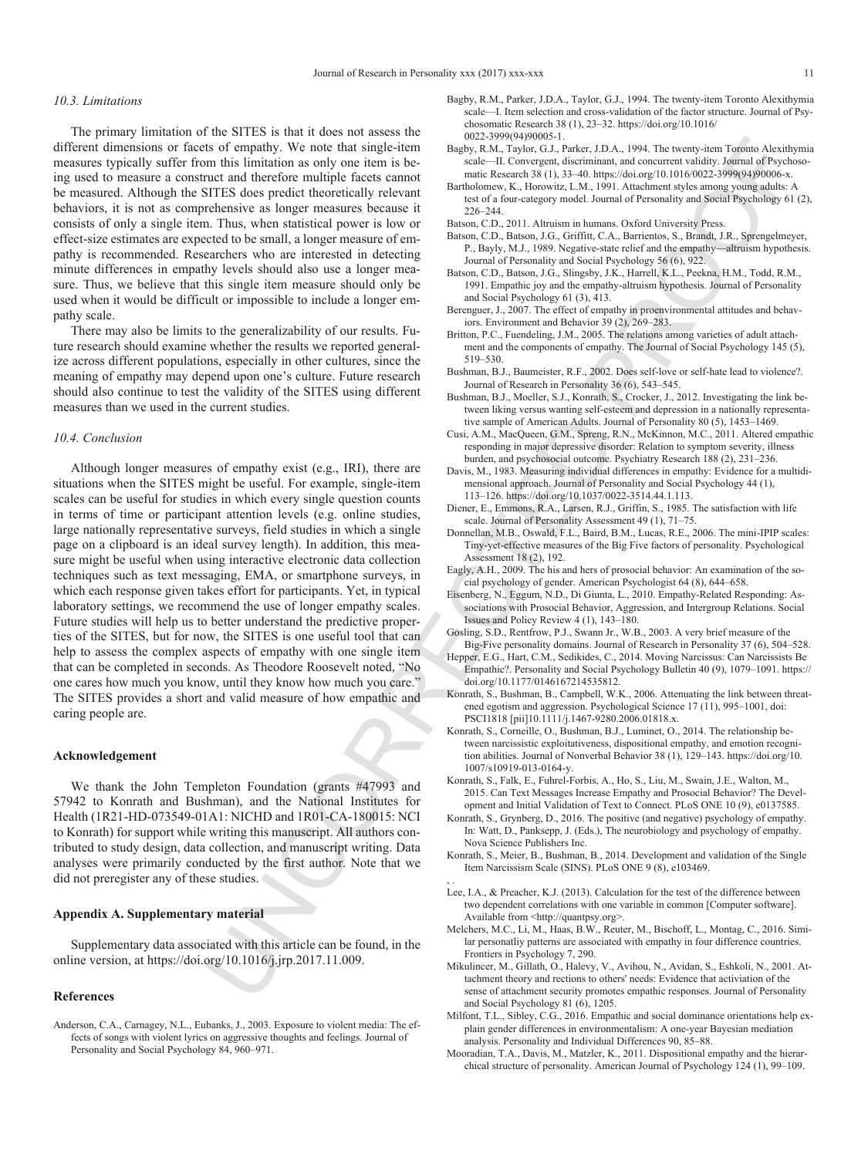#### *10.3. Limitations*

The primary limitation of the SITES is that it does not assess the different dimensions or facets of empathy. We note that single-item measures typically suffer from this limitation as only one item is being used to measure a construct and therefore multiple facets cannot be measured. Although the SITES does predict theoretically relevant behaviors, it is not as comprehensive as longer measures because it consists of only a single item. Thus, when statistical power is low or effect-size estimates are expected to be small, a longer measure of empathy is recommended. Researchers who are interested in detecting minute differences in empathy levels should also use a longer measure. Thus, we believe that this single item measure should only be used when it would be difficult or impossible to include a longer empathy scale.

There may also be limits to the generalizability of our results. Future research should examine whether the results we reported generalize across different populations, especially in other cultures, since the meaning of empathy may depend upon one's culture. Future research should also continue to test the validity of the SITES using different measures than we used in the current studies.

#### *10.4. Conclusion*

Is of representation to the state in the state in the state in the state in the state in the state in the state in the state in the state in the state in the state in the state in the state in the state in the state in th Although longer measures of empathy exist (e.g., IRI), there are situations when the SITES might be useful. For example, single-item scales can be useful for studies in which every single question counts in terms of time or participant attention levels (e.g. online studies, large nationally representative surveys, field studies in which a single page on a clipboard is an ideal survey length). In addition, this measure might be useful when using interactive electronic data collection techniques such as text messaging, EMA, or smartphone surveys, in which each response given takes effort for participants. Yet, in typical laboratory settings, we recommend the use of longer empathy scales. Future studies will help us to better understand the predictive properties of the SITES, but for now, the SITES is one useful tool that can help to assess the complex aspects of empathy with one single item that can be completed in seconds. As Theodore Roosevelt noted, "No one cares how much you know, until they know how much you care." The SITES provides a short and valid measure of how empathic and caring people are.

#### **Acknowledgement**

We thank the John Templeton Foundation (grants #47993 and 57942 to Konrath and Bushman), and the National Institutes for Health (1R21-HD-073549-01A1: NICHD and 1R01-CA-180015: NCI to Konrath) for support while writing this manuscript. All authors contributed to study design, data collection, and manuscript writing. Data analyses were primarily conducted by the first author. Note that we did not preregister any of these studies.

# **Appendix A. Supplementary material**

Supplementary data associated with this article can be found, in the online version, at https://doi.org/10.1016/j.jrp.2017.11.009.

#### **References**

Anderson, C.A., Carnagey, N.L., Eubanks, J., 2003. Exposure to violent media: The effects of songs with violent lyrics on aggressive thoughts and feelings. Journal of Personality and Social Psychology 84, 960–971.

- Bagby, R.M., Parker, J.D.A., Taylor, G.J., 1994. The twenty-item Toronto Alexithymia scale—I. Item selection and cross-validation of the factor structure. Journal of Psychosomatic Research 38 (1), 23–32. https://doi.org/10.1016/ 0022-3999(94)90005-1.
- Bagby, R.M., Taylor, G.J., Parker, J.D.A., 1994. The twenty-item Toronto Alexithymia scale—II. Convergent, discriminant, and concurrent validity. Journal of Psychosomatic Research 38 (1), 33–40. https://doi.org/10.1016/0022-3999(94)90006-x.
- Bartholomew, K., Horowitz, L.M., 1991. Attachment styles among young adults: A test of a four-category model. Journal of Personality and Social Psychology 61 (2), 226–244.
- Batson, C.D., 2011. Altruism in humans. Oxford University Press.
- Batson, C.D., Batson, J.G., Griffitt, C.A., Barrientos, S., Brandt, J.R., Sprengelmeyer, P., Bayly, M.J., 1989. Negative-state relief and the empathy—altruism hypothesis. Journal of Personality and Social Psychology 56 (6), 922.
- Batson, C.D., Batson, J.G., Slingsby, J.K., Harrell, K.L., Peekna, H.M., Todd, R.M., 1991. Empathic joy and the empathy-altruism hypothesis. Journal of Personality and Social Psychology 61 (3), 413.
- Berenguer, J., 2007. The effect of empathy in proenvironmental attitudes and behaviors. Environment and Behavior 39 (2), 269–283.
- Britton, P.C., Fuendeling, J.M., 2005. The relations among varieties of adult attachment and the components of empathy. The Journal of Social Psychology 145 (5), 519–530.
- Bushman, B.J., Baumeister, R.F., 2002. Does self-love or self-hate lead to violence?. Journal of Research in Personality 36 (6), 543–545.
- Bushman, B.J., Moeller, S.J., Konrath, S., Crocker, J., 2012. Investigating the link between liking versus wanting self-esteem and depression in a nationally representative sample of American Adults. Journal of Personality 80 (5), 1453–1469.
- Cusi, A.M., MacQueen, G.M., Spreng, R.N., McKinnon, M.C., 2011. Altered empathic responding in major depressive disorder: Relation to symptom severity, illness burden, and psychosocial outcome. Psychiatry Research 188 (2), 231–236.
- Davis, M., 1983. Measuring individual differences in empathy: Evidence for a multidimensional approach. Journal of Personality and Social Psychology 44 (1), 113–126. https://doi.org/10.1037/0022-3514.44.1.113.
- Diener, E., Emmons, R.A., Larsen, R.J., Griffin, S., 1985. The satisfaction with life scale. Journal of Personality Assessment 49 (1), 71–75.
- Donnellan, M.B., Oswald, F.L., Baird, B.M., Lucas, R.E., 2006. The mini-IPIP scales: Tiny-yet-effective measures of the Big Five factors of personality. Psychological Assessment 18 (2), 192.
- Eagly, A.H., 2009. The his and hers of prosocial behavior: An examination of the social psychology of gender. American Psychologist 64 (8), 644–658.
- Eisenberg, N., Eggum, N.D., Di Giunta, L., 2010. Empathy-Related Responding: Associations with Prosocial Behavior, Aggression, and Intergroup Relations. Social Issues and Policy Review 4 (1), 143–180.
- Gosling, S.D., Rentfrow, P.J., Swann Jr., W.B., 2003. A very brief measure of the Big-Five personality domains. Journal of Research in Personality 37 (6), 504–528.
- Hepper, E.G., Hart, C.M., Sedikides, C., 2014. Moving Narcissus: Can Narcissists Be Empathic?. Personality and Social Psychology Bulletin 40 (9), 1079–1091. https:// doi.org/10.1177/0146167214535812.
- Konrath, S., Bushman, B., Campbell, W.K., 2006. Attenuating the link between threatened egotism and aggression. Psychological Science 17 (11), 995–1001, doi: PSCI1818 [pii]10.1111/j.1467-9280.2006.01818.x.
- Konrath, S., Corneille, O., Bushman, B.J., Luminet, O., 2014. The relationship between narcissistic exploitativeness, dispositional empathy, and emotion recognition abilities. Journal of Nonverbal Behavior 38 (1), 129–143. https://doi.org/10. 1007/s10919-013-0164-y.
- Konrath, S., Falk, E., Fuhrel-Forbis, A., Ho, S., Liu, M., Swain, J.E., Walton, M., 2015. Can Text Messages Increase Empathy and Prosocial Behavior? The Development and Initial Validation of Text to Connect. PLoS ONE 10 (9), e0137585.
- Konrath, S., Grynberg, D., 2016. The positive (and negative) psychology of empathy. In: Watt, D., Panksepp, J. (Eds.), The neurobiology and psychology of empathy. Nova Science Publishers Inc.
- Konrath, S., Meier, B., Bushman, B., 2014. Development and validation of the Single Item Narcissism Scale (SINS). PLoS ONE 9 (8), e103469.
- Lee, I.A., & Preacher, K.J. (2013). Calculation for the test of the difference between two dependent correlations with one variable in common [Computer software]. Available from <http://quantpsy.org>.

, .

- Melchers, M.C., Li, M., Haas, B.W., Reuter, M., Bischoff, L., Montag, C., 2016. Similar personatliy patterns are associated with empathy in four difference countries. Frontiers in Psychology 7, 290.
- Mikulincer, M., Gillath, O., Halevy, V., Avihou, N., Avidan, S., Eshkoli, N., 2001. Attachment theory and rections to others' needs: Evidence that activiation of the sense of attachment security promotes empathic responses. Journal of Personality and Social Psychology 81 (6), 1205.
- Milfont, T.L., Sibley, C.G., 2016. Empathic and social dominance orientations help explain gender differences in environmentalism: A one-year Bayesian mediation analysis. Personality and Individual Differences 90, 85–88.
- Mooradian, T.A., Davis, M., Matzler, K., 2011. Dispositional empathy and the hierarchical structure of personality. American Journal of Psychology 124 (1), 99–109.